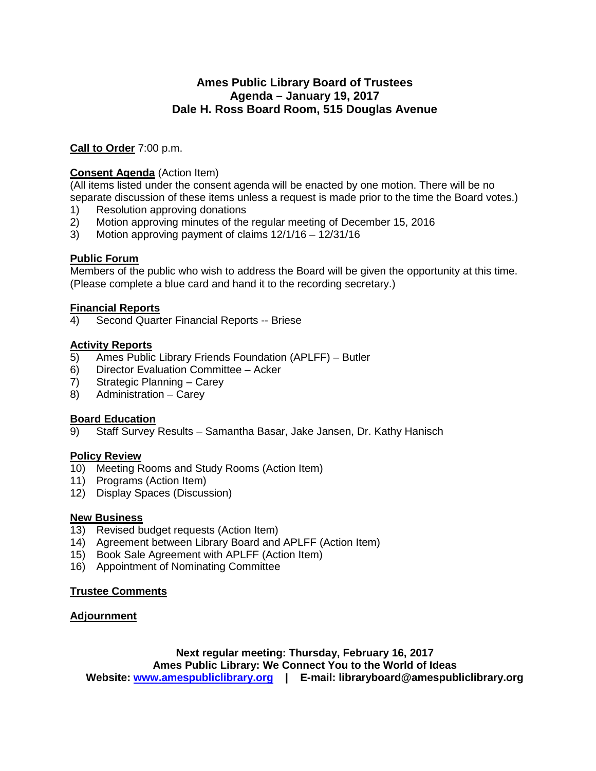## **Ames Public Library Board of Trustees Agenda – January 19, 2017 Dale H. Ross Board Room, 515 Douglas Avenue**

**Call to Order** 7:00 p.m.

#### **Consent Agenda** (Action Item)

(All items listed under the consent agenda will be enacted by one motion. There will be no separate discussion of these items unless a request is made prior to the time the Board votes.)

- 1) Resolution approving donations
- 2) Motion approving minutes of the regular meeting of December 15, 2016
- 3) Motion approving payment of claims 12/1/16 12/31/16

#### **Public Forum**

Members of the public who wish to address the Board will be given the opportunity at this time. (Please complete a blue card and hand it to the recording secretary.)

# **Financial Reports**

4) Second Quarter Financial Reports -- Briese

#### **Activity Reports**

- 5) Ames Public Library Friends Foundation (APLFF) Butler
- 6) Director Evaluation Committee Acker
- 7) Strategic Planning Carey
- 8) Administration Carey

#### **Board Education**

9) Staff Survey Results – Samantha Basar, Jake Jansen, Dr. Kathy Hanisch

#### **Policy Review**

- 10) Meeting Rooms and Study Rooms (Action Item)
- 11) Programs (Action Item)
- 12) Display Spaces (Discussion)

#### **New Business**

- 13) Revised budget requests (Action Item)
- 14) Agreement between Library Board and APLFF (Action Item)
- 15) Book Sale Agreement with APLFF (Action Item)
- 16) Appointment of Nominating Committee

#### **Trustee Comments**

#### **Adjournment**

**Next regular meeting: Thursday, February 16, 2017 Ames Public Library: We Connect You to the World of Ideas Website: [www.amespubliclibrary.org](http://www.amespubliclibrary.org/) | E-mail: libraryboard@amespubliclibrary.org**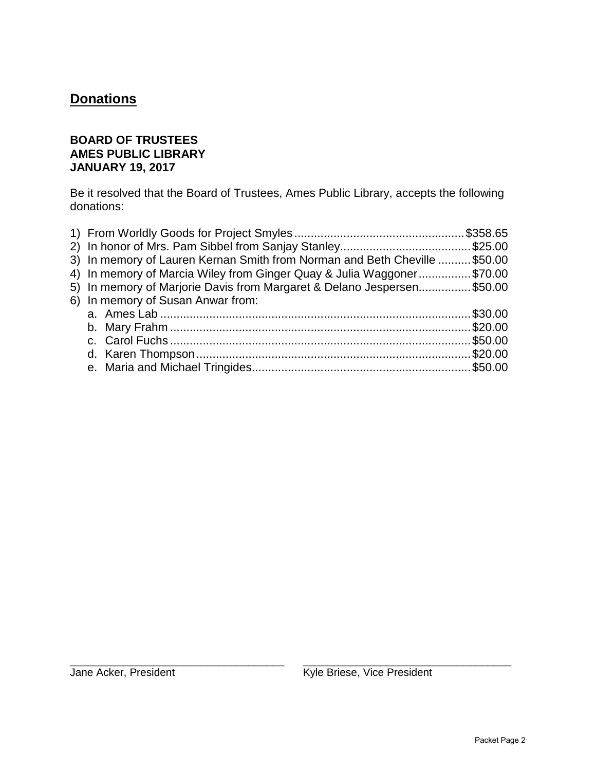## **Donations**

#### **BOARD OF TRUSTEES AMES PUBLIC LIBRARY JANUARY 19, 2017**

Be it resolved that the Board of Trustees, Ames Public Library, accepts the following donations:

| 3) In memory of Lauren Kernan Smith from Norman and Beth Cheville  \$50.00 |  |
|----------------------------------------------------------------------------|--|
| 4) In memory of Marcia Wiley from Ginger Quay & Julia Waggoner\$70.00      |  |
| 5) In memory of Marjorie Davis from Margaret & Delano Jespersen\$50.00     |  |
| 6) In memory of Susan Anwar from:                                          |  |
|                                                                            |  |
|                                                                            |  |
|                                                                            |  |
|                                                                            |  |
|                                                                            |  |
|                                                                            |  |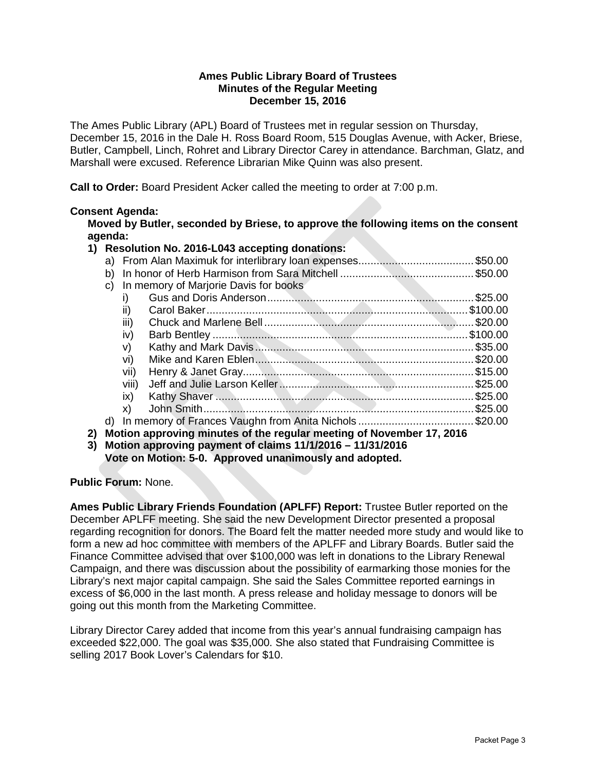#### **Ames Public Library Board of Trustees Minutes of the Regular Meeting December 15, 2016**

The Ames Public Library (APL) Board of Trustees met in regular session on Thursday, December 15, 2016 in the Dale H. Ross Board Room, 515 Douglas Avenue, with Acker, Briese, Butler, Campbell, Linch, Rohret and Library Director Carey in attendance. Barchman, Glatz, and Marshall were excused. Reference Librarian Mike Quinn was also present.

**Call to Order:** Board President Acker called the meeting to order at 7:00 p.m.

#### **Consent Agenda:**

**Moved by Butler, seconded by Briese, to approve the following items on the consent agenda:**

#### **1) Resolution No. 2016-L043 accepting donations:**

|    | b) |                                       |                                                                      |             |
|----|----|---------------------------------------|----------------------------------------------------------------------|-------------|
|    | C) | In memory of Marjorie Davis for books |                                                                      |             |
|    |    |                                       |                                                                      | $. \$25.00$ |
|    |    | $\mathbf{H}$                          |                                                                      | \$100.00    |
|    |    | iii)                                  |                                                                      |             |
|    |    | iv)                                   |                                                                      |             |
|    |    | V)                                    |                                                                      |             |
|    |    | vi)                                   |                                                                      |             |
|    |    | vii)                                  |                                                                      |             |
|    |    | viii)                                 |                                                                      |             |
|    |    | ix)                                   |                                                                      |             |
|    |    | X)                                    |                                                                      |             |
|    |    |                                       | d) In memory of Frances Vaughn from Anita Nichols \$20.00            |             |
| 2) |    |                                       | Motion approving minutes of the regular meeting of November 17, 2016 |             |
|    |    |                                       |                                                                      |             |

**3) Motion approving payment of claims 11/1/2016 – 11/31/2016 Vote on Motion: 5-0. Approved unanimously and adopted.**

**Public Forum:** None.

**Ames Public Library Friends Foundation (APLFF) Report:** Trustee Butler reported on the December APLFF meeting. She said the new Development Director presented a proposal regarding recognition for donors. The Board felt the matter needed more study and would like to form a new ad hoc committee with members of the APLFF and Library Boards. Butler said the Finance Committee advised that over \$100,000 was left in donations to the Library Renewal Campaign, and there was discussion about the possibility of earmarking those monies for the Library's next major capital campaign. She said the Sales Committee reported earnings in excess of \$6,000 in the last month. A press release and holiday message to donors will be going out this month from the Marketing Committee.

Library Director Carey added that income from this year's annual fundraising campaign has exceeded \$22,000. The goal was \$35,000. She also stated that Fundraising Committee is selling 2017 Book Lover's Calendars for \$10.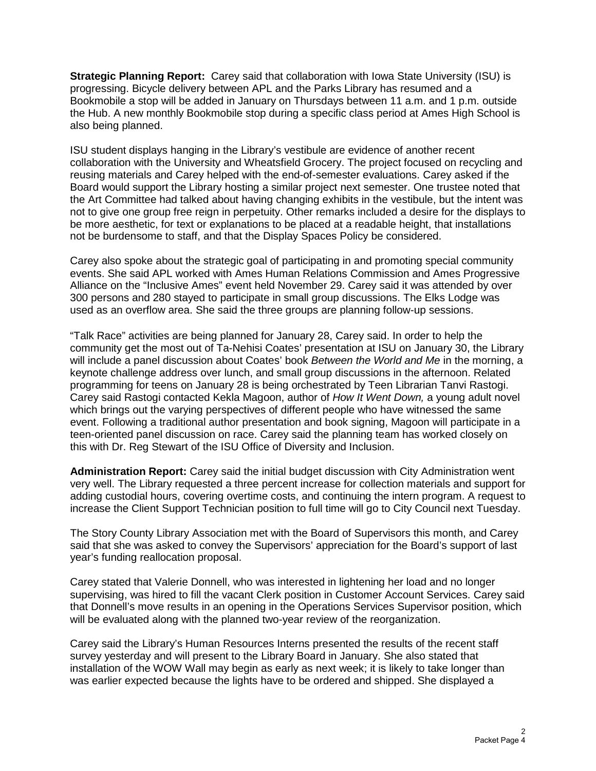**Strategic Planning Report:** Carey said that collaboration with Iowa State University (ISU) is progressing. Bicycle delivery between APL and the Parks Library has resumed and a Bookmobile a stop will be added in January on Thursdays between 11 a.m. and 1 p.m. outside the Hub. A new monthly Bookmobile stop during a specific class period at Ames High School is also being planned.

ISU student displays hanging in the Library's vestibule are evidence of another recent collaboration with the University and Wheatsfield Grocery. The project focused on recycling and reusing materials and Carey helped with the end-of-semester evaluations. Carey asked if the Board would support the Library hosting a similar project next semester. One trustee noted that the Art Committee had talked about having changing exhibits in the vestibule, but the intent was not to give one group free reign in perpetuity. Other remarks included a desire for the displays to be more aesthetic, for text or explanations to be placed at a readable height, that installations not be burdensome to staff, and that the Display Spaces Policy be considered.

Carey also spoke about the strategic goal of participating in and promoting special community events. She said APL worked with Ames Human Relations Commission and Ames Progressive Alliance on the "Inclusive Ames" event held November 29. Carey said it was attended by over 300 persons and 280 stayed to participate in small group discussions. The Elks Lodge was used as an overflow area. She said the three groups are planning follow-up sessions.

"Talk Race" activities are being planned for January 28, Carey said. In order to help the community get the most out of Ta-Nehisi Coates' presentation at ISU on January 30, the Library will include a panel discussion about Coates' book *Between the World and Me* in the morning, a keynote challenge address over lunch, and small group discussions in the afternoon. Related programming for teens on January 28 is being orchestrated by Teen Librarian Tanvi Rastogi. Carey said Rastogi contacted Kekla Magoon, author of *How It Went Down,* a young adult novel which brings out the varying perspectives of different people who have witnessed the same event. Following a traditional author presentation and book signing, Magoon will participate in a teen-oriented panel discussion on race. Carey said the planning team has worked closely on this with Dr. Reg Stewart of the ISU Office of Diversity and Inclusion.

**Administration Report:** Carey said the initial budget discussion with City Administration went very well. The Library requested a three percent increase for collection materials and support for adding custodial hours, covering overtime costs, and continuing the intern program. A request to increase the Client Support Technician position to full time will go to City Council next Tuesday.

The Story County Library Association met with the Board of Supervisors this month, and Carey said that she was asked to convey the Supervisors' appreciation for the Board's support of last year's funding reallocation proposal.

Carey stated that Valerie Donnell, who was interested in lightening her load and no longer supervising, was hired to fill the vacant Clerk position in Customer Account Services. Carey said that Donnell's move results in an opening in the Operations Services Supervisor position, which will be evaluated along with the planned two-year review of the reorganization.

Carey said the Library's Human Resources Interns presented the results of the recent staff survey yesterday and will present to the Library Board in January. She also stated that installation of the WOW Wall may begin as early as next week; it is likely to take longer than was earlier expected because the lights have to be ordered and shipped. She displayed a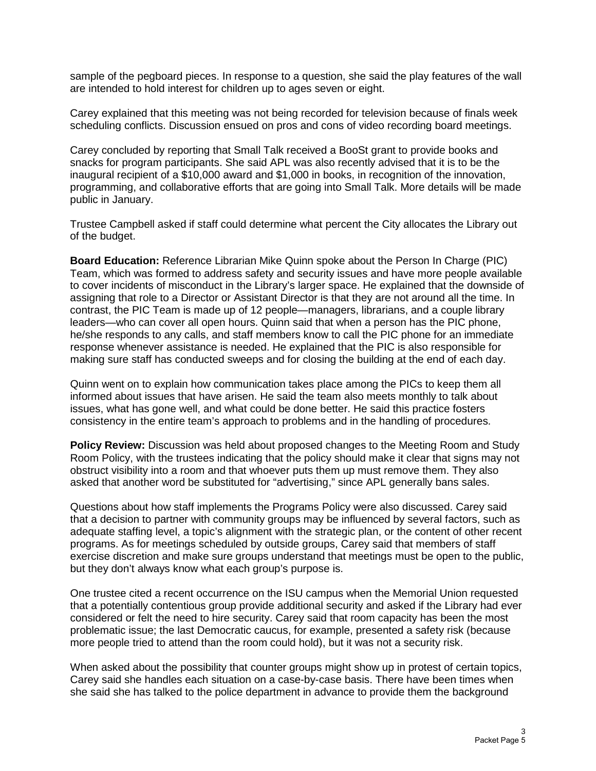sample of the pegboard pieces. In response to a question, she said the play features of the wall are intended to hold interest for children up to ages seven or eight.

Carey explained that this meeting was not being recorded for television because of finals week scheduling conflicts. Discussion ensued on pros and cons of video recording board meetings.

Carey concluded by reporting that Small Talk received a BooSt grant to provide books and snacks for program participants. She said APL was also recently advised that it is to be the inaugural recipient of a \$10,000 award and \$1,000 in books, in recognition of the innovation, programming, and collaborative efforts that are going into Small Talk. More details will be made public in January.

Trustee Campbell asked if staff could determine what percent the City allocates the Library out of the budget.

**Board Education:** Reference Librarian Mike Quinn spoke about the Person In Charge (PIC) Team, which was formed to address safety and security issues and have more people available to cover incidents of misconduct in the Library's larger space. He explained that the downside of assigning that role to a Director or Assistant Director is that they are not around all the time. In contrast, the PIC Team is made up of 12 people—managers, librarians, and a couple library leaders—who can cover all open hours. Quinn said that when a person has the PIC phone, he/she responds to any calls, and staff members know to call the PIC phone for an immediate response whenever assistance is needed. He explained that the PIC is also responsible for making sure staff has conducted sweeps and for closing the building at the end of each day.

Quinn went on to explain how communication takes place among the PICs to keep them all informed about issues that have arisen. He said the team also meets monthly to talk about issues, what has gone well, and what could be done better. He said this practice fosters consistency in the entire team's approach to problems and in the handling of procedures.

**Policy Review:** Discussion was held about proposed changes to the Meeting Room and Study Room Policy, with the trustees indicating that the policy should make it clear that signs may not obstruct visibility into a room and that whoever puts them up must remove them. They also asked that another word be substituted for "advertising," since APL generally bans sales.

Questions about how staff implements the Programs Policy were also discussed. Carey said that a decision to partner with community groups may be influenced by several factors, such as adequate staffing level, a topic's alignment with the strategic plan, or the content of other recent programs. As for meetings scheduled by outside groups, Carey said that members of staff exercise discretion and make sure groups understand that meetings must be open to the public, but they don't always know what each group's purpose is.

One trustee cited a recent occurrence on the ISU campus when the Memorial Union requested that a potentially contentious group provide additional security and asked if the Library had ever considered or felt the need to hire security. Carey said that room capacity has been the most problematic issue; the last Democratic caucus, for example, presented a safety risk (because more people tried to attend than the room could hold), but it was not a security risk.

When asked about the possibility that counter groups might show up in protest of certain topics, Carey said she handles each situation on a case-by-case basis. There have been times when she said she has talked to the police department in advance to provide them the background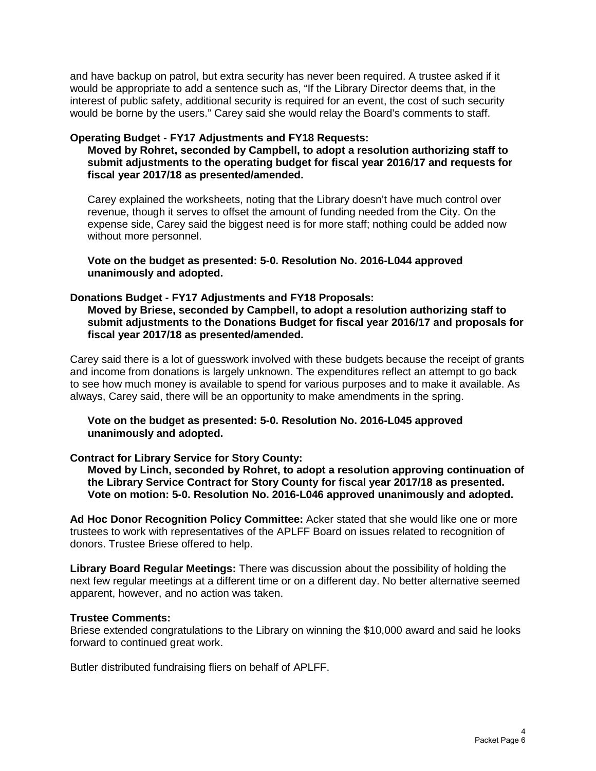and have backup on patrol, but extra security has never been required. A trustee asked if it would be appropriate to add a sentence such as, "If the Library Director deems that, in the interest of public safety, additional security is required for an event, the cost of such security would be borne by the users." Carey said she would relay the Board's comments to staff.

#### **Operating Budget - FY17 Adjustments and FY18 Requests:**

**Moved by Rohret, seconded by Campbell, to adopt a resolution authorizing staff to submit adjustments to the operating budget for fiscal year 2016/17 and requests for fiscal year 2017/18 as presented/amended.** 

Carey explained the worksheets, noting that the Library doesn't have much control over revenue, though it serves to offset the amount of funding needed from the City. On the expense side, Carey said the biggest need is for more staff; nothing could be added now without more personnel.

**Vote on the budget as presented: 5-0. Resolution No. 2016-L044 approved unanimously and adopted.**

#### **Donations Budget - FY17 Adjustments and FY18 Proposals:**

**Moved by Briese, seconded by Campbell, to adopt a resolution authorizing staff to submit adjustments to the Donations Budget for fiscal year 2016/17 and proposals for fiscal year 2017/18 as presented/amended.** 

Carey said there is a lot of guesswork involved with these budgets because the receipt of grants and income from donations is largely unknown. The expenditures reflect an attempt to go back to see how much money is available to spend for various purposes and to make it available. As always, Carey said, there will be an opportunity to make amendments in the spring.

**Vote on the budget as presented: 5-0. Resolution No. 2016-L045 approved unanimously and adopted.**

#### **Contract for Library Service for Story County:**

**Moved by Linch, seconded by Rohret, to adopt a resolution approving continuation of the Library Service Contract for Story County for fiscal year 2017/18 as presented. Vote on motion: 5-0. Resolution No. 2016-L046 approved unanimously and adopted.**

**Ad Hoc Donor Recognition Policy Committee:** Acker stated that she would like one or more trustees to work with representatives of the APLFF Board on issues related to recognition of donors. Trustee Briese offered to help.

**Library Board Regular Meetings:** There was discussion about the possibility of holding the next few regular meetings at a different time or on a different day. No better alternative seemed apparent, however, and no action was taken.

#### **Trustee Comments:**

Briese extended congratulations to the Library on winning the \$10,000 award and said he looks forward to continued great work.

Butler distributed fundraising fliers on behalf of APLFF.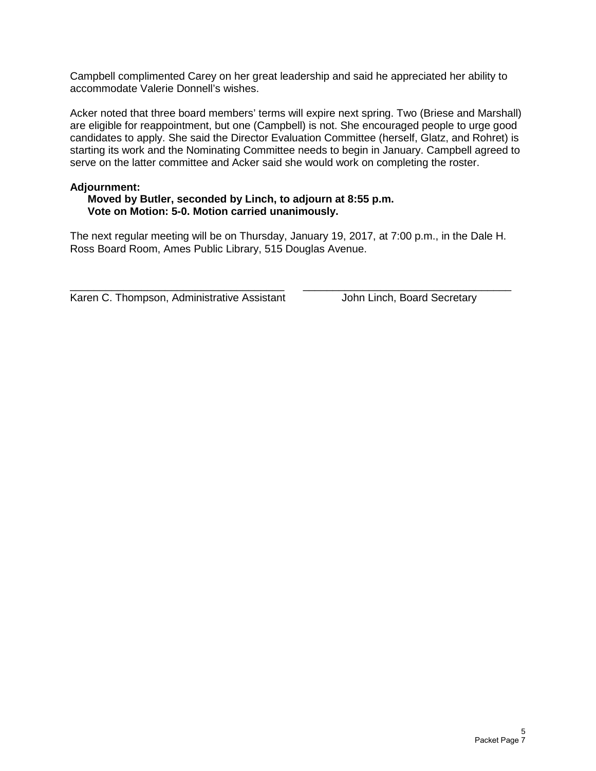Campbell complimented Carey on her great leadership and said he appreciated her ability to accommodate Valerie Donnell's wishes.

Acker noted that three board members' terms will expire next spring. Two (Briese and Marshall) are eligible for reappointment, but one (Campbell) is not. She encouraged people to urge good candidates to apply. She said the Director Evaluation Committee (herself, Glatz, and Rohret) is starting its work and the Nominating Committee needs to begin in January. Campbell agreed to serve on the latter committee and Acker said she would work on completing the roster.

#### **Adjournment:**

#### **Moved by Butler, seconded by Linch, to adjourn at 8:55 p.m. Vote on Motion: 5-0. Motion carried unanimously.**

The next regular meeting will be on Thursday, January 19, 2017, at 7:00 p.m., in the Dale H. Ross Board Room, Ames Public Library, 515 Douglas Avenue.

\_\_\_\_\_\_\_\_\_\_\_\_\_\_\_\_\_\_\_\_\_\_\_\_\_\_\_\_\_\_\_\_\_\_\_\_ \_\_\_\_\_\_\_\_\_\_\_\_\_\_\_\_\_\_\_\_\_\_\_\_\_\_\_\_\_\_\_\_\_\_\_ Karen C. Thompson, Administrative Assistant John Linch, Board Secretary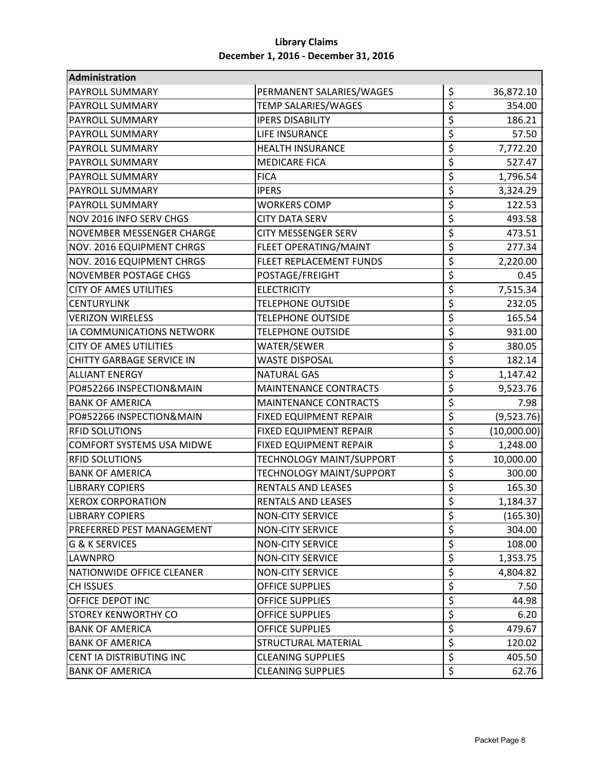| Administration                   |                                 |                                     |             |
|----------------------------------|---------------------------------|-------------------------------------|-------------|
| <b>PAYROLL SUMMARY</b>           | PERMANENT SALARIES/WAGES        | \$                                  | 36,872.10   |
| <b>PAYROLL SUMMARY</b>           | <b>TEMP SALARIES/WAGES</b>      | \$                                  | 354.00      |
| PAYROLL SUMMARY                  | <b>IPERS DISABILITY</b>         | \$                                  | 186.21      |
| <b>PAYROLL SUMMARY</b>           | LIFE INSURANCE                  | \$                                  | 57.50       |
| <b>PAYROLL SUMMARY</b>           | <b>HEALTH INSURANCE</b>         | \$                                  | 7,772.20    |
| <b>PAYROLL SUMMARY</b>           | <b>MEDICARE FICA</b>            | \$                                  | 527.47      |
| PAYROLL SUMMARY                  | <b>FICA</b>                     | \$                                  | 1,796.54    |
| <b>PAYROLL SUMMARY</b>           | <b>IPERS</b>                    | \$                                  | 3,324.29    |
| <b>PAYROLL SUMMARY</b>           | <b>WORKERS COMP</b>             | \$                                  | 122.53      |
| NOV 2016 INFO SERV CHGS          | <b>CITY DATA SERV</b>           | \$                                  | 493.58      |
| <b>NOVEMBER MESSENGER CHARGE</b> | <b>CITY MESSENGER SERV</b>      | \$                                  | 473.51      |
| NOV. 2016 EQUIPMENT CHRGS        | FLEET OPERATING/MAINT           | \$                                  | 277.34      |
| NOV. 2016 EQUIPMENT CHRGS        | FLEET REPLACEMENT FUNDS         | \$                                  | 2,220.00    |
| <b>NOVEMBER POSTAGE CHGS</b>     | POSTAGE/FREIGHT                 | \$                                  | 0.45        |
| <b>CITY OF AMES UTILITIES</b>    | <b>ELECTRICITY</b>              | \$                                  | 7,515.34    |
| <b>CENTURYLINK</b>               | <b>TELEPHONE OUTSIDE</b>        | \$                                  | 232.05      |
| <b>VERIZON WIRELESS</b>          | <b>TELEPHONE OUTSIDE</b>        | \$                                  | 165.54      |
| IA COMMUNICATIONS NETWORK        | <b>TELEPHONE OUTSIDE</b>        | \$                                  | 931.00      |
| <b>CITY OF AMES UTILITIES</b>    | WATER/SEWER                     | \$                                  | 380.05      |
| <b>CHITTY GARBAGE SERVICE IN</b> | <b>WASTE DISPOSAL</b>           | \$                                  | 182.14      |
| <b>ALLIANT ENERGY</b>            | <b>NATURAL GAS</b>              | \$                                  | 1,147.42    |
| PO#52266 INSPECTION&MAIN         | <b>MAINTENANCE CONTRACTS</b>    | \$                                  | 9,523.76    |
| <b>BANK OF AMERICA</b>           | <b>MAINTENANCE CONTRACTS</b>    | \$                                  | 7.98        |
| PO#52266 INSPECTION&MAIN         | FIXED EQUIPMENT REPAIR          | \$                                  | (9,523.76)  |
| <b>RFID SOLUTIONS</b>            | FIXED EQUIPMENT REPAIR          | $\overline{\boldsymbol{\varsigma}}$ | (10,000.00) |
| <b>COMFORT SYSTEMS USA MIDWE</b> | FIXED EQUIPMENT REPAIR          | \$                                  | 1,248.00    |
| <b>RFID SOLUTIONS</b>            | <b>TECHNOLOGY MAINT/SUPPORT</b> | \$                                  | 10,000.00   |
| <b>BANK OF AMERICA</b>           | <b>TECHNOLOGY MAINT/SUPPORT</b> | \$                                  | 300.00      |
| <b>LIBRARY COPIERS</b>           | <b>RENTALS AND LEASES</b>       | \$                                  | 165.30      |
| <b>XEROX CORPORATION</b>         | RENTALS AND LEASES              | \$                                  | 1,184.37    |
| <b>LIBRARY COPIERS</b>           | <b>NON-CITY SERVICE</b>         | \$                                  | (165.30)    |
| PREFERRED PEST MANAGEMENT        | <b>NON-CITY SERVICE</b>         | \$                                  | 304.00      |
| <b>G &amp; K SERVICES</b>        | <b>NON-CITY SERVICE</b>         | \$                                  | 108.00      |
| <b>LAWNPRO</b>                   | <b>NON-CITY SERVICE</b>         | \$                                  | 1,353.75    |
| NATIONWIDE OFFICE CLEANER        | <b>NON-CITY SERVICE</b>         | $\overline{\xi}$                    | 4,804.82    |
| <b>CH ISSUES</b>                 | <b>OFFICE SUPPLIES</b>          | $\overline{\xi}$                    | 7.50        |
| OFFICE DEPOT INC                 | <b>OFFICE SUPPLIES</b>          | \$                                  | 44.98       |
| <b>STOREY KENWORTHY CO</b>       | <b>OFFICE SUPPLIES</b>          | \$                                  | 6.20        |
| <b>BANK OF AMERICA</b>           | <b>OFFICE SUPPLIES</b>          | $\overline{\xi}$                    | 479.67      |
| <b>BANK OF AMERICA</b>           | STRUCTURAL MATERIAL             | \$                                  | 120.02      |
| CENT IA DISTRIBUTING INC         | <b>CLEANING SUPPLIES</b>        | \$                                  | 405.50      |
| <b>BANK OF AMERICA</b>           | <b>CLEANING SUPPLIES</b>        | \$                                  | 62.76       |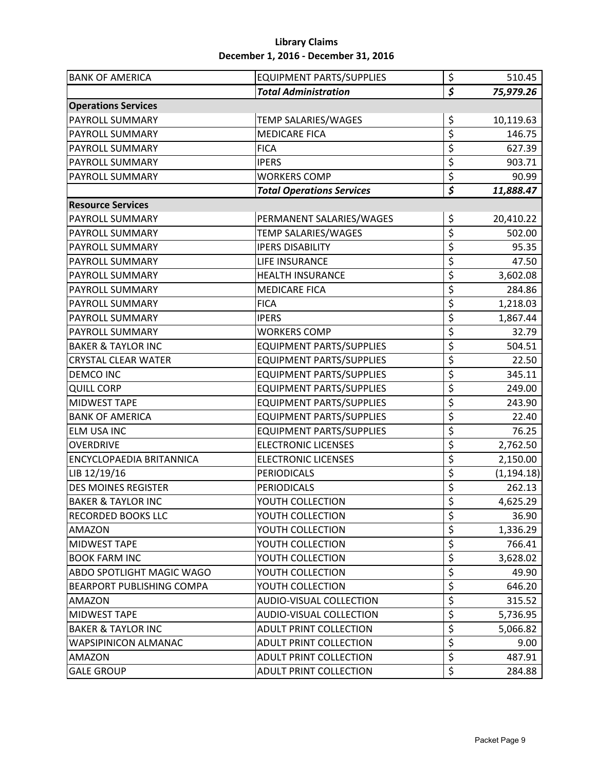| <b>BANK OF AMERICA</b>           | <b>EQUIPMENT PARTS/SUPPLIES</b>  | \$                              | 510.45      |
|----------------------------------|----------------------------------|---------------------------------|-------------|
|                                  | <b>Total Administration</b>      | \$                              | 75,979.26   |
| <b>Operations Services</b>       |                                  |                                 |             |
| PAYROLL SUMMARY                  | TEMP SALARIES/WAGES              | \$                              | 10,119.63   |
| PAYROLL SUMMARY                  | <b>MEDICARE FICA</b>             | \$                              | 146.75      |
| PAYROLL SUMMARY                  | <b>FICA</b>                      | $\overline{\xi}$                | 627.39      |
| PAYROLL SUMMARY                  | <b>IPERS</b>                     | \$                              | 903.71      |
| <b>PAYROLL SUMMARY</b>           | <b>WORKERS COMP</b>              | \$                              | 90.99       |
|                                  | <b>Total Operations Services</b> | $\overline{\boldsymbol{\zeta}}$ | 11,888.47   |
| <b>Resource Services</b>         |                                  |                                 |             |
| PAYROLL SUMMARY                  | PERMANENT SALARIES/WAGES         | \$                              | 20,410.22   |
| PAYROLL SUMMARY                  | <b>TEMP SALARIES/WAGES</b>       | \$                              | 502.00      |
| PAYROLL SUMMARY                  | <b>IPERS DISABILITY</b>          | \$                              | 95.35       |
| PAYROLL SUMMARY                  | LIFE INSURANCE                   | \$                              | 47.50       |
| PAYROLL SUMMARY                  | <b>HEALTH INSURANCE</b>          | \$                              | 3,602.08    |
| PAYROLL SUMMARY                  | <b>MEDICARE FICA</b>             | \$                              | 284.86      |
| PAYROLL SUMMARY                  | <b>FICA</b>                      | \$                              | 1,218.03    |
| PAYROLL SUMMARY                  | <b>IPERS</b>                     | \$                              | 1,867.44    |
| PAYROLL SUMMARY                  | <b>WORKERS COMP</b>              | \$                              | 32.79       |
| <b>BAKER &amp; TAYLOR INC</b>    | <b>EQUIPMENT PARTS/SUPPLIES</b>  | \$                              | 504.51      |
| <b>CRYSTAL CLEAR WATER</b>       | <b>EQUIPMENT PARTS/SUPPLIES</b>  | \$                              | 22.50       |
| <b>DEMCO INC</b>                 | <b>EQUIPMENT PARTS/SUPPLIES</b>  | \$                              | 345.11      |
| <b>QUILL CORP</b>                | <b>EQUIPMENT PARTS/SUPPLIES</b>  | \$                              | 249.00      |
| <b>MIDWEST TAPE</b>              | <b>EQUIPMENT PARTS/SUPPLIES</b>  | \$                              | 243.90      |
| <b>BANK OF AMERICA</b>           | <b>EQUIPMENT PARTS/SUPPLIES</b>  | \$                              | 22.40       |
| ELM USA INC                      | <b>EQUIPMENT PARTS/SUPPLIES</b>  | \$                              | 76.25       |
| <b>OVERDRIVE</b>                 | <b>ELECTRONIC LICENSES</b>       | \$                              | 2,762.50    |
| <b>ENCYCLOPAEDIA BRITANNICA</b>  | <b>ELECTRONIC LICENSES</b>       | \$                              | 2,150.00    |
| LIB 12/19/16                     | <b>PERIODICALS</b>               | $\overline{\xi}$                | (1, 194.18) |
| <b>DES MOINES REGISTER</b>       | <b>PERIODICALS</b>               | \$                              | 262.13      |
| <b>BAKER &amp; TAYLOR INC</b>    | YOUTH COLLECTION                 | \$                              | 4,625.29    |
| <b>RECORDED BOOKS LLC</b>        | YOUTH COLLECTION                 | \$                              | 36.90       |
| <b>AMAZON</b>                    | YOUTH COLLECTION                 | \$                              | 1,336.29    |
| <b>MIDWEST TAPE</b>              | YOUTH COLLECTION                 | \$                              | 766.41      |
| <b>BOOK FARM INC</b>             | YOUTH COLLECTION                 | \$                              | 3,628.02    |
| <b>ABDO SPOTLIGHT MAGIC WAGO</b> | YOUTH COLLECTION                 | \$                              | 49.90       |
| <b>BEARPORT PUBLISHING COMPA</b> | YOUTH COLLECTION                 | \$                              | 646.20      |
| <b>AMAZON</b>                    | <b>AUDIO-VISUAL COLLECTION</b>   | \$                              | 315.52      |
| MIDWEST TAPE                     | AUDIO-VISUAL COLLECTION          | \$                              | 5,736.95    |
| <b>BAKER &amp; TAYLOR INC</b>    | ADULT PRINT COLLECTION           | \$                              | 5,066.82    |
| <b>WAPSIPINICON ALMANAC</b>      | ADULT PRINT COLLECTION           | $\overline{\xi}$                | 9.00        |
| <b>AMAZON</b>                    | ADULT PRINT COLLECTION           | \$                              | 487.91      |
| <b>GALE GROUP</b>                | ADULT PRINT COLLECTION           | \$                              | 284.88      |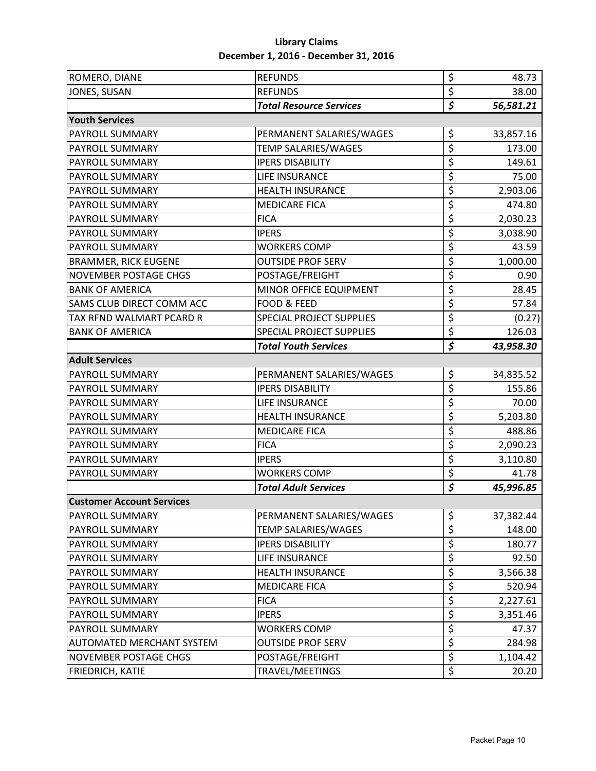| ROMERO, DIANE                    | <b>REFUNDS</b>                  | \$                              | 48.73     |
|----------------------------------|---------------------------------|---------------------------------|-----------|
| JONES, SUSAN                     | <b>REFUNDS</b>                  | \$                              | 38.00     |
|                                  | <b>Total Resource Services</b>  | $\overline{\boldsymbol{\zeta}}$ | 56,581.21 |
| <b>Youth Services</b>            |                                 |                                 |           |
| PAYROLL SUMMARY                  | PERMANENT SALARIES/WAGES        | \$                              | 33,857.16 |
| PAYROLL SUMMARY                  | TEMP SALARIES/WAGES             | \$                              | 173.00    |
| <b>PAYROLL SUMMARY</b>           | <b>IPERS DISABILITY</b>         | \$                              | 149.61    |
| PAYROLL SUMMARY                  | LIFE INSURANCE                  | \$                              | 75.00     |
| PAYROLL SUMMARY                  | <b>HEALTH INSURANCE</b>         | $\overline{\xi}$                | 2,903.06  |
| PAYROLL SUMMARY                  | <b>MEDICARE FICA</b>            | \$                              | 474.80    |
| <b>PAYROLL SUMMARY</b>           | <b>FICA</b>                     | \$                              | 2,030.23  |
| PAYROLL SUMMARY                  | <b>IPERS</b>                    | \$                              | 3,038.90  |
| <b>PAYROLL SUMMARY</b>           | <b>WORKERS COMP</b>             | \$                              | 43.59     |
| <b>BRAMMER, RICK EUGENE</b>      | <b>OUTSIDE PROF SERV</b>        | $\overline{\xi}$                | 1,000.00  |
| <b>NOVEMBER POSTAGE CHGS</b>     | POSTAGE/FREIGHT                 | \$                              | 0.90      |
| <b>BANK OF AMERICA</b>           | MINOR OFFICE EQUIPMENT          | \$                              | 28.45     |
| SAMS CLUB DIRECT COMM ACC        | FOOD & FEED                     | \$                              | 57.84     |
| TAX RFND WALMART PCARD R         | <b>SPECIAL PROJECT SUPPLIES</b> | \$                              | (0.27)    |
| <b>BANK OF AMERICA</b>           | <b>SPECIAL PROJECT SUPPLIES</b> | \$                              | 126.03    |
|                                  | <b>Total Youth Services</b>     | $\overline{\boldsymbol{\zeta}}$ | 43,958.30 |
| <b>Adult Services</b>            |                                 |                                 |           |
| PAYROLL SUMMARY                  | PERMANENT SALARIES/WAGES        | \$                              | 34,835.52 |
| <b>PAYROLL SUMMARY</b>           | <b>IPERS DISABILITY</b>         | \$                              | 155.86    |
| PAYROLL SUMMARY                  | LIFE INSURANCE                  | \$                              | 70.00     |
| PAYROLL SUMMARY                  | <b>HEALTH INSURANCE</b>         | \$                              | 5,203.80  |
| <b>PAYROLL SUMMARY</b>           | <b>MEDICARE FICA</b>            | \$                              | 488.86    |
| PAYROLL SUMMARY                  | <b>FICA</b>                     | \$                              | 2,090.23  |
| <b>PAYROLL SUMMARY</b>           | <b>IPERS</b>                    | \$                              | 3,110.80  |
| <b>PAYROLL SUMMARY</b>           | <b>WORKERS COMP</b>             | \$                              | 41.78     |
|                                  | <b>Total Adult Services</b>     | \$                              | 45,996.85 |
| <b>Customer Account Services</b> |                                 |                                 |           |
| <b>PAYROLL SUMMARY</b>           | PERMANENT SALARIES/WAGES        | \$                              | 37,382.44 |
| <b>PAYROLL SUMMARY</b>           | TEMP SALARIES/WAGES             | \$                              | 148.00    |
| <b>PAYROLL SUMMARY</b>           | <b>IPERS DISABILITY</b>         | \$                              | 180.77    |
| PAYROLL SUMMARY                  | LIFE INSURANCE                  | \$                              | 92.50     |
| <b>PAYROLL SUMMARY</b>           | <b>HEALTH INSURANCE</b>         | \$                              | 3,566.38  |
| <b>PAYROLL SUMMARY</b>           | <b>MEDICARE FICA</b>            | \$                              | 520.94    |
| PAYROLL SUMMARY                  | <b>FICA</b>                     | \$                              | 2,227.61  |
| PAYROLL SUMMARY                  | <b>IPERS</b>                    | \$                              | 3,351.46  |
| <b>PAYROLL SUMMARY</b>           | <b>WORKERS COMP</b>             | \$                              | 47.37     |
| <b>AUTOMATED MERCHANT SYSTEM</b> | <b>OUTSIDE PROF SERV</b>        | $\overline{\xi}$                | 284.98    |
| <b>NOVEMBER POSTAGE CHGS</b>     | POSTAGE/FREIGHT                 | \$                              | 1,104.42  |
| <b>FRIEDRICH, KATIE</b>          | TRAVEL/MEETINGS                 | \$                              | 20.20     |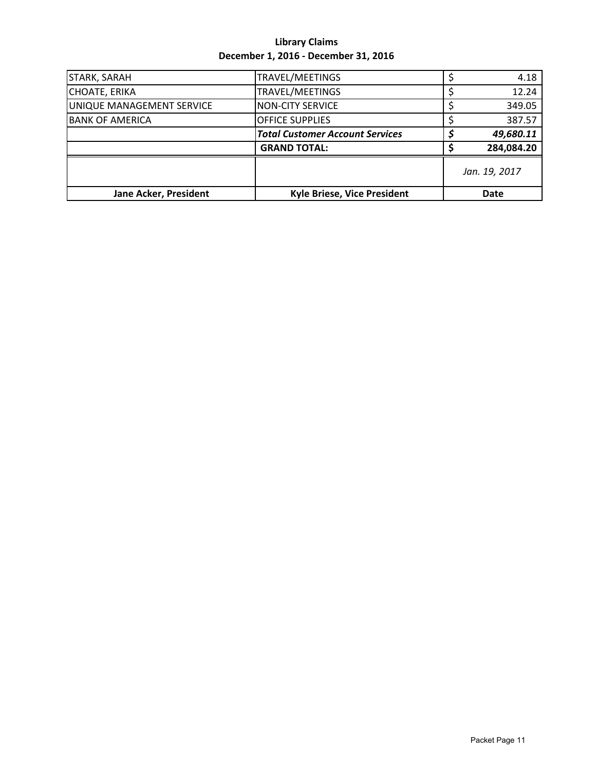| <b>STARK, SARAH</b>       | TRAVEL/MEETINGS                        | 4.18          |  |  |
|---------------------------|----------------------------------------|---------------|--|--|
| <b>CHOATE, ERIKA</b>      | TRAVEL/MEETINGS                        | 12.24         |  |  |
| UNIQUE MANAGEMENT SERVICE | <b>NON-CITY SERVICE</b>                | 349.05        |  |  |
| <b>BANK OF AMERICA</b>    | <b>OFFICE SUPPLIES</b>                 | 387.57        |  |  |
|                           | <b>Total Customer Account Services</b> | 49,680.11     |  |  |
|                           | <b>GRAND TOTAL:</b>                    | 284,084.20    |  |  |
|                           |                                        | Jan. 19, 2017 |  |  |
| Jane Acker, President     | <b>Kyle Briese, Vice President</b>     | Date          |  |  |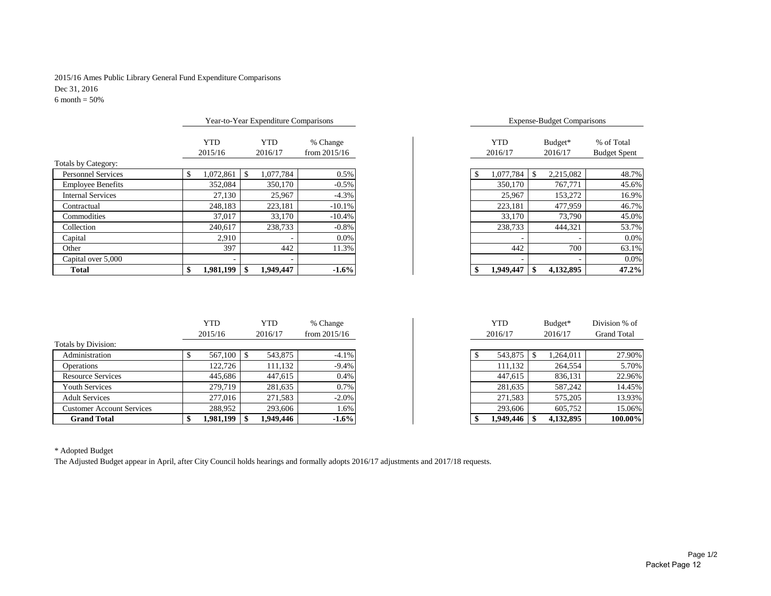#### 2015/16 Ames Public Library General Fund Expenditure Comparisons Dec 31, 2016  $6$  month =  $50\%$

|                           | Year-to-Year Expenditure Comparisons |                          |                |            | <b>Expense-Budget Comparisons</b> |                     |
|---------------------------|--------------------------------------|--------------------------|----------------|------------|-----------------------------------|---------------------|
|                           | <b>YTD</b>                           | <b>YTD</b>               | % Change       | <b>YTD</b> | Budget*                           | % of Total          |
|                           | 2015/16                              | 2016/17                  | from $2015/16$ | 2016/17    | 2016/17                           | <b>Budget Spent</b> |
| Totals by Category:       |                                      |                          |                |            |                                   |                     |
| <b>Personnel Services</b> | 1,072,861                            | 1,077,784                | 0.5%           | 1,077,784  | 2,215,082                         | 48.7%               |
| <b>Employee Benefits</b>  | 352,084                              | 350,170                  | $-0.5%$        | 350,170    | 767,771                           | 45.6%               |
| <b>Internal Services</b>  | 27,130                               | 25,967                   | $-4.3%$        | 25,967     | 153,272                           | 16.9%               |
| Contractual               | 248.183                              | 223,181                  | $-10.1%$       | 223.181    | 477,959                           | 46.7%               |
| Commodities               | 37,017                               | 33,170                   | $-10.4%$       | 33,170     | 73,790                            | 45.0%               |
| Collection                | 240,617                              | 238,733                  | $-0.8%$        | 238,733    | 444,321                           | 53.7%               |
| Capital                   | 2,910                                |                          | 0.0%           |            |                                   | 0.0%                |
| Other                     | 397                                  | 442                      | 11.3%          | 442        | 700                               | 63.1%               |
| Capital over 5,000        |                                      | $\overline{\phantom{a}}$ |                |            |                                   | 0.0%                |
| <b>Total</b>              | 1.981.199                            | 1.949.447                | $-1.6%$        | 1,949,447  | 4,132,895                         | 47.2%               |

|                       | Year-to-Year Expenditure Comparisons |                            |                       | <b>Expense-Budget Comparisons</b> |                                   |
|-----------------------|--------------------------------------|----------------------------|-----------------------|-----------------------------------|-----------------------------------|
| <b>YTD</b><br>2015/16 | <b>YTD</b><br>2016/17                | % Change<br>from $2015/16$ | <b>YTD</b><br>2016/17 | Budget*<br>2016/17                | % of Total<br><b>Budget Spent</b> |
| 1,072,861             | \$<br>1,077,784                      | 0.5%                       | 1,077,784             | \$<br>2,215,082                   | 48.7%                             |
| 352,084               | 350,170                              | $-0.5\%$                   | 350,170               | 767,771                           | 45.6%                             |
| 27,130                | 25,967                               | $-4.3%$                    | 25,967                | 153,272                           | 16.9%                             |
| 248,183               | 223,181                              | $-10.1%$                   | 223,181               | 477,959                           | 46.7%                             |
| 37,017                | 33,170                               | $-10.4%$                   | 33,170                | 73,790                            | 45.0%                             |
| 240,617               | 238,733                              | $-0.8%$                    | 238,733               | 444,321                           | 53.7%                             |
| 2,910                 |                                      | $0.0\%$                    |                       |                                   | $0.0\%$                           |
| 397                   | 442                                  | 11.3%                      | 442                   | 700                               | 63.1%                             |
|                       |                                      |                            | ۰                     |                                   | $0.0\%$                           |
| 1,981,199             | \$<br>1.949.447                      | $-1.6%$                    | 1.949.447             | \$<br>4.132.895                   | 47.2%                             |

|                                  | <b>YTD</b> | YTD       | % Change       | <b>YTD</b> | Budget*   | Division % of      |
|----------------------------------|------------|-----------|----------------|------------|-----------|--------------------|
|                                  | 2015/16    | 2016/17   | from $2015/16$ | 2016/17    | 2016/17   | <b>Grand Total</b> |
| Totals by Division:              |            |           |                |            |           |                    |
| Administration                   |            | 543,875   | $-4.1%$        | 543,875    | ,264,011  | 27.90%             |
| Operations                       | 122.726    | 111,132   | $-9.4%$        | 111.132    | 264,554   | 5.70%              |
| <b>Resource Services</b>         | 445,686    | 447,615   | 0.4%           | 447.615    | 836,131   | 22.96%             |
| Youth Services                   | 279.719    | 281,635   | 0.7%           | 281,635    | 587,242   | 14.45%             |
| <b>Adult Services</b>            | 277,016    | 271,583   | $-2.0%$        | 271.583    | 575,205   | 13.93%             |
| <b>Customer Account Services</b> | 288,952    | 293,606   | 1.6%           | 293,606    | 605,752   | 15.06%             |
| <b>Grand Total</b>               | 1,981,199  | 1,949,446 | $-1.6%$        | 1,949,446  | 4,132,895 | 100.00%            |

| <b>YTD</b> |   | YTD      | % Change       | <b>YTD</b> |   | Budget*   | Division % of      |
|------------|---|----------|----------------|------------|---|-----------|--------------------|
| 2015/16    |   | 2016/17  | from $2015/16$ | 2016/17    |   | 2016/17   | <b>Grand Total</b> |
|            |   |          |                |            |   |           |                    |
| 567,100    | S | 543,875  | $-4.1%$        | 543,875    | Ж | 1,264,011 |                    |
| 122.726    |   | 111,132  | $-9.4%$        | 111,132    |   | 264,554   |                    |
| 445,686    |   | 447.615  | 0.4%           | 447,615    |   | 836,131   |                    |
| 279,719    |   | 281,635  | 0.7%           | 281.635    |   | 587.242   |                    |
| 277,016    |   | 271,583  | $-2.0\%$       | 271,583    |   | 575,205   |                    |
| 288,952    |   | 293.606  | 1.6%           | 293.606    |   | 605,752   |                    |
| 1,981,199  |   | .949.446 | $-1.6%$        | 1,949,446  |   | 4,132,895 | 100.00%            |

\* Adopted Budget

The Adjusted Budget appear in April, after City Council holds hearings and formally adopts 2016/17 adjustments and 2017/18 requests.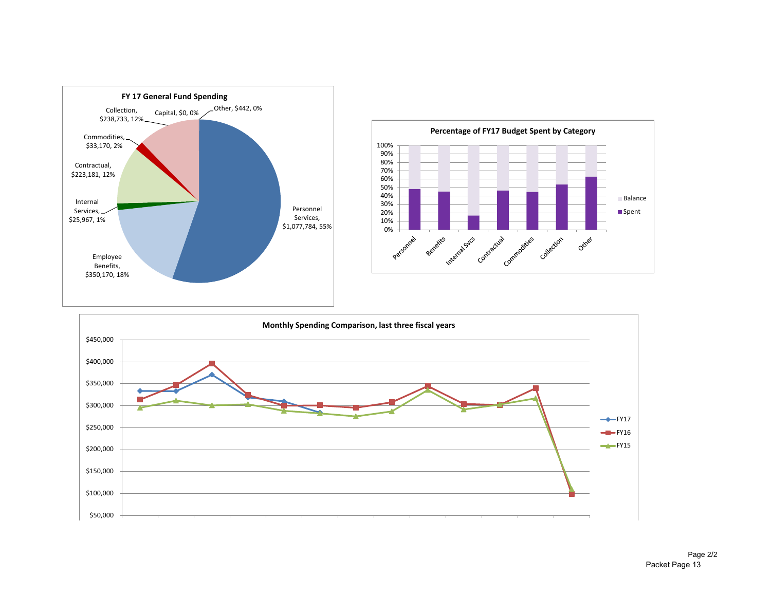



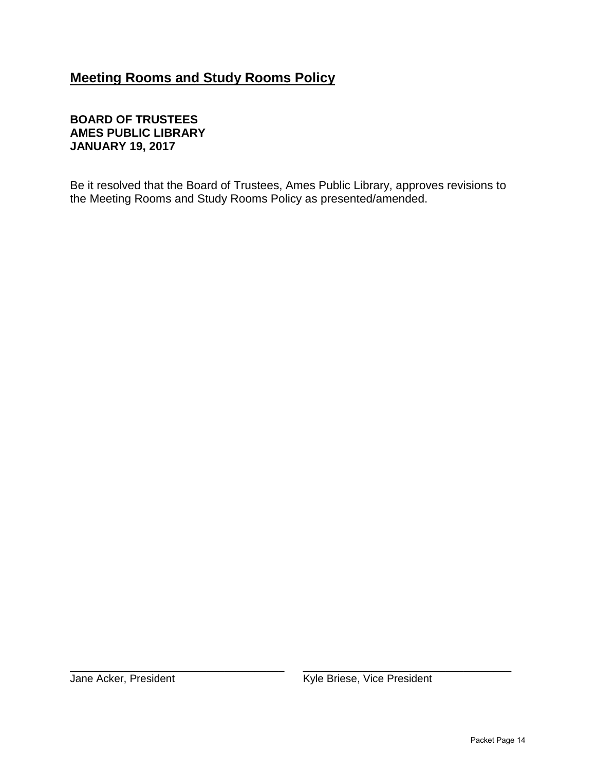## **Meeting Rooms and Study Rooms Policy**

## **BOARD OF TRUSTEES AMES PUBLIC LIBRARY JANUARY 19, 2017**

Be it resolved that the Board of Trustees, Ames Public Library, approves revisions to the Meeting Rooms and Study Rooms Policy as presented/amended.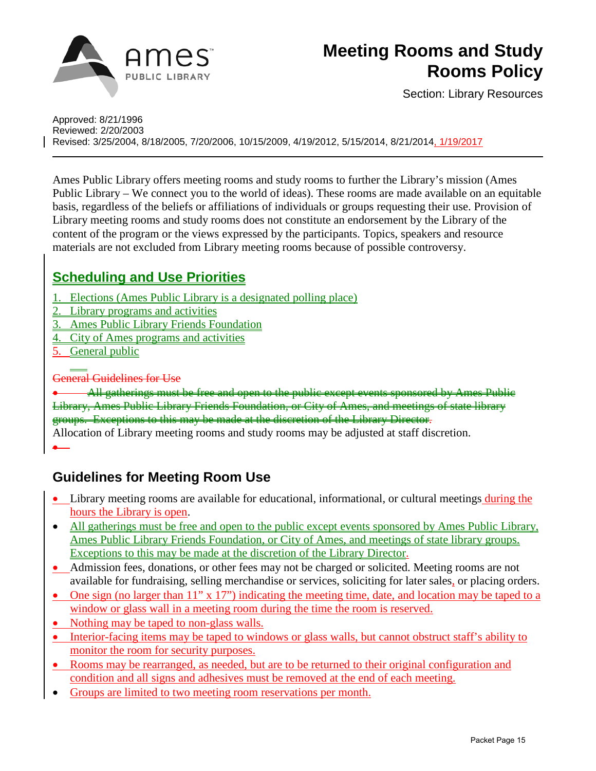

# **Meeting Rooms and Study Rooms Policy**

Section: Library Resources

Approved: 8/21/1996 Reviewed: 2/20/2003 Revised: 3/25/2004, 8/18/2005, 7/20/2006, 10/15/2009, 4/19/2012, 5/15/2014, 8/21/2014, 1/19/2017

Ames Public Library offers meeting rooms and study rooms to further the Library's mission (Ames Public Library – We connect you to the world of ideas). These rooms are made available on an equitable basis, regardless of the beliefs or affiliations of individuals or groups requesting their use. Provision of Library meeting rooms and study rooms does not constitute an endorsement by the Library of the content of the program or the views expressed by the participants. Topics, speakers and resource materials are not excluded from Library meeting rooms because of possible controversy.

## **Scheduling and Use Priorities**

- 1. Elections (Ames Public Library is a designated polling place)
- 2. Library programs and activities
- 3. Ames Public Library Friends Foundation
- 4. City of Ames programs and activities
- 5. General public

#### General Guidelines for Use

All gatherings must be free and open to the public except events sponsored by Ames Public Library, Ames Public Library Friends Foundation, or City of Ames, and meetings of state library groups. Exceptions to this may be made at the discretion of the Library Director.

Allocation of Library meeting rooms and study rooms may be adjusted at staff discretion. •

## **Guidelines for Meeting Room Use**

- Library meeting rooms are available for educational, informational, or cultural meetings during the hours the Library is open.
- All gatherings must be free and open to the public except events sponsored by Ames Public Library, Ames Public Library Friends Foundation, or City of Ames, and meetings of state library groups. Exceptions to this may be made at the discretion of the Library Director.
- Admission fees, donations, or other fees may not be charged or solicited. Meeting rooms are not available for fundraising, selling merchandise or services, soliciting for later sales, or placing orders.
- One sign (no larger than 11" x 17") indicating the meeting time, date, and location may be taped to a window or glass wall in a meeting room during the time the room is reserved.
- Nothing may be taped to non-glass walls.
- Interior-facing items may be taped to windows or glass walls, but cannot obstruct staff's ability to monitor the room for security purposes.
- Rooms may be rearranged, as needed, but are to be returned to their original configuration and condition and all signs and adhesives must be removed at the end of each meeting.
- Groups are limited to two meeting room reservations per month.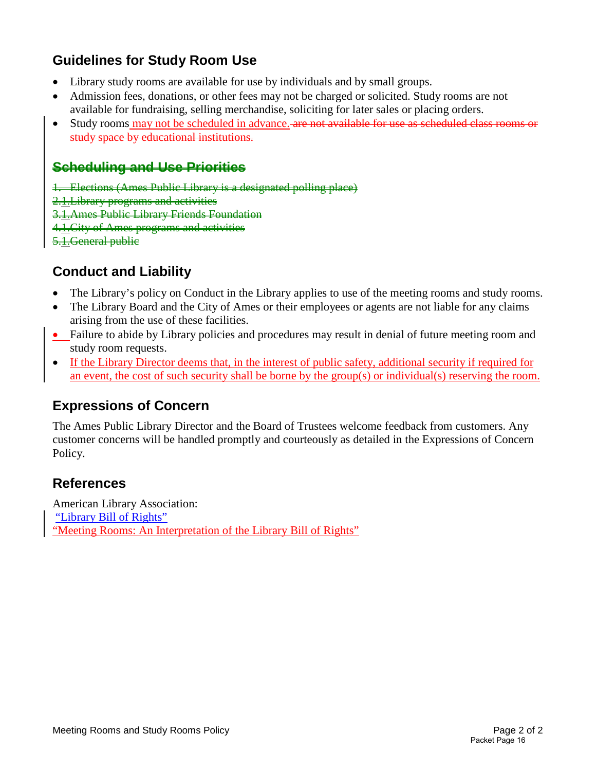## **Guidelines for Study Room Use**

- Library study rooms are available for use by individuals and by small groups.
- Admission fees, donations, or other fees may not be charged or solicited. Study rooms are not available for fundraising, selling merchandise, soliciting for later sales or placing orders.
- Study rooms may not be scheduled in advance. are not available for use as scheduled class rooms or study space by educational institutions.

## **Scheduling and Use Priorities**

- 1. Elections (Ames Public Library is a designated polling place)
- 2.1.Library programs and activities
- 3.1.Ames Public Library Friends Foundation
- 4.1.City of Ames programs and activities
- 5.1. General publie

## **Conduct and Liability**

- The Library's policy on Conduct in the Library applies to use of the meeting rooms and study rooms.
- The Library Board and the City of Ames or their employees or agents are not liable for any claims arising from the use of these facilities.
- Failure to abide by Library policies and procedures may result in denial of future meeting room and study room requests.
- If the Library Director deems that, in the interest of public safety, additional security if required for an event, the cost of such security shall be borne by the group(s) or individual(s) reserving the room.

## **Expressions of Concern**

The Ames Public Library Director and the Board of Trustees welcome feedback from customers. Any customer concerns will be handled promptly and courteously as detailed in the Expressions of Concern Policy.

## **References**

American Library Association: ["Library Bill of Rights"](http://www.ala.org/advocacy/intfreedom/librarybill) ["Meeting Rooms: An Interpretation of the Library Bill of Rights"](http://www.ala.org/advocacy/intfreedom/librarybill/interpretations/meetingrooms)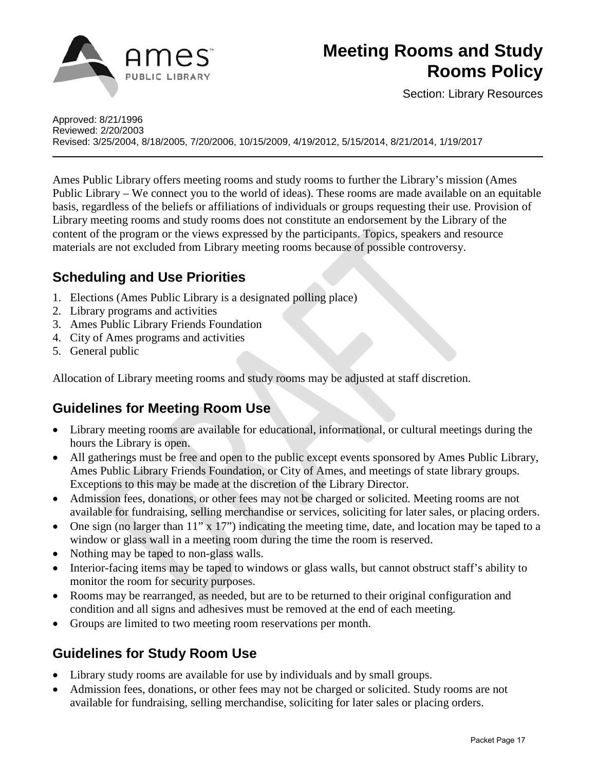

# **Meeting Rooms and Study Rooms Policy**

Section: Library Resources

Approved: 8/21/1996 Reviewed: 2/20/2003 Revised: 3/25/2004, 8/18/2005, 7/20/2006, 10/15/2009, 4/19/2012, 5/15/2014, 8/21/2014, 1/19/2017

Ames Public Library offers meeting rooms and study rooms to further the Library's mission (Ames Public Library – We connect you to the world of ideas). These rooms are made available on an equitable basis, regardless of the beliefs or affiliations of individuals or groups requesting their use. Provision of Library meeting rooms and study rooms does not constitute an endorsement by the Library of the content of the program or the views expressed by the participants. Topics, speakers and resource materials are not excluded from Library meeting rooms because of possible controversy.

## **Scheduling and Use Priorities**

- 1. Elections (Ames Public Library is a designated polling place)
- 2. Library programs and activities
- 3. Ames Public Library Friends Foundation
- 4. City of Ames programs and activities
- 5. General public

Allocation of Library meeting rooms and study rooms may be adjusted at staff discretion.

## **Guidelines for Meeting Room Use**

- Library meeting rooms are available for educational, informational, or cultural meetings during the hours the Library is open.
- All gatherings must be free and open to the public except events sponsored by Ames Public Library, Ames Public Library Friends Foundation, or City of Ames, and meetings of state library groups. Exceptions to this may be made at the discretion of the Library Director.
- Admission fees, donations, or other fees may not be charged or solicited. Meeting rooms are not available for fundraising, selling merchandise or services, soliciting for later sales, or placing orders.
- One sign (no larger than 11" x 17") indicating the meeting time, date, and location may be taped to a window or glass wall in a meeting room during the time the room is reserved.
- Nothing may be taped to non-glass walls.
- Interior-facing items may be taped to windows or glass walls, but cannot obstruct staff's ability to monitor the room for security purposes.
- Rooms may be rearranged, as needed, but are to be returned to their original configuration and condition and all signs and adhesives must be removed at the end of each meeting.
- Groups are limited to two meeting room reservations per month.

## **Guidelines for Study Room Use**

- Library study rooms are available for use by individuals and by small groups.
- Admission fees, donations, or other fees may not be charged or solicited. Study rooms are not available for fundraising, selling merchandise, soliciting for later sales or placing orders.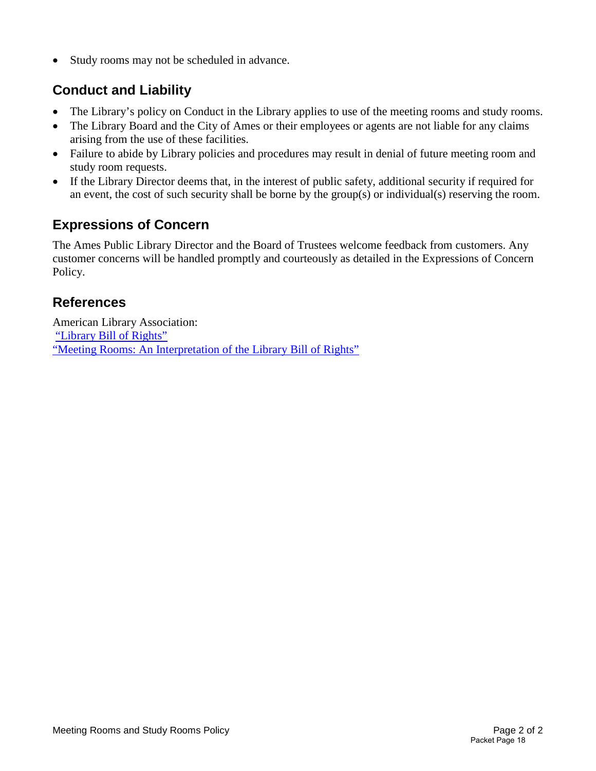• Study rooms may not be scheduled in advance.

## **Conduct and Liability**

- The Library's policy on Conduct in the Library applies to use of the meeting rooms and study rooms.
- The Library Board and the City of Ames or their employees or agents are not liable for any claims arising from the use of these facilities.
- Failure to abide by Library policies and procedures may result in denial of future meeting room and study room requests.
- If the Library Director deems that, in the interest of public safety, additional security if required for an event, the cost of such security shall be borne by the group(s) or individual(s) reserving the room.

## **Expressions of Concern**

The Ames Public Library Director and the Board of Trustees welcome feedback from customers. Any customer concerns will be handled promptly and courteously as detailed in the Expressions of Concern Policy.

## **References**

American Library Association: ["Library Bill of Rights"](http://www.ala.org/advocacy/intfreedom/librarybill) ["Meeting Rooms: An Interpretation of the Library Bill of Rights"](http://www.ala.org/advocacy/intfreedom/librarybill/interpretations/meetingrooms)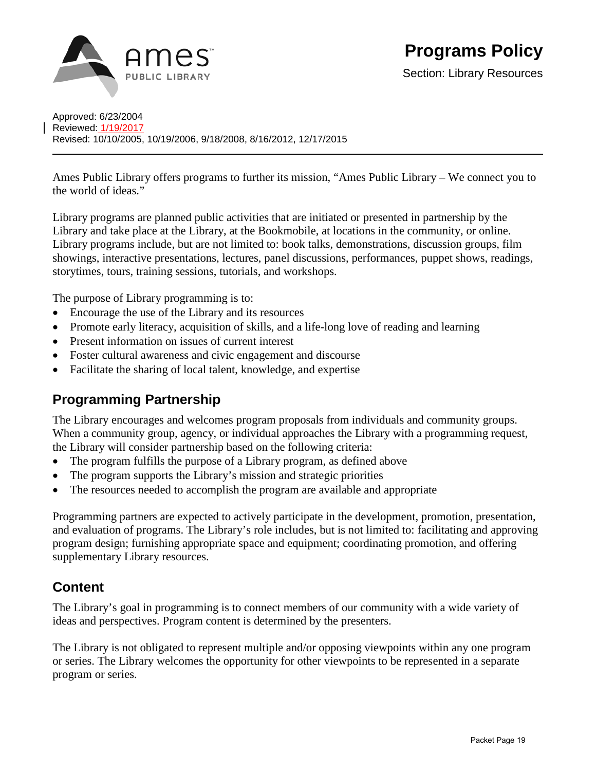

Section: Library Resources

Approved: 6/23/2004 Reviewed: 1/19/2017 Revised: 10/10/2005, 10/19/2006, 9/18/2008, 8/16/2012, 12/17/2015

Ames Public Library offers programs to further its mission, "Ames Public Library – We connect you to the world of ideas."

Library programs are planned public activities that are initiated or presented in partnership by the Library and take place at the Library, at the Bookmobile, at locations in the community, or online. Library programs include, but are not limited to: book talks, demonstrations, discussion groups, film showings, interactive presentations, lectures, panel discussions, performances, puppet shows, readings, storytimes, tours, training sessions, tutorials, and workshops.

The purpose of Library programming is to:

- Encourage the use of the Library and its resources
- Promote early literacy, acquisition of skills, and a life-long love of reading and learning
- Present information on issues of current interest
- Foster cultural awareness and civic engagement and discourse
- Facilitate the sharing of local talent, knowledge, and expertise

## **Programming Partnership**

The Library encourages and welcomes program proposals from individuals and community groups. When a community group, agency, or individual approaches the Library with a programming request, the Library will consider partnership based on the following criteria:

- The program fulfills the purpose of a Library program, as defined above
- The program supports the Library's mission and strategic priorities
- The resources needed to accomplish the program are available and appropriate

Programming partners are expected to actively participate in the development, promotion, presentation, and evaluation of programs. The Library's role includes, but is not limited to: facilitating and approving program design; furnishing appropriate space and equipment; coordinating promotion, and offering supplementary Library resources.

## **Content**

The Library's goal in programming is to connect members of our community with a wide variety of ideas and perspectives. Program content is determined by the presenters.

The Library is not obligated to represent multiple and/or opposing viewpoints within any one program or series. The Library welcomes the opportunity for other viewpoints to be represented in a separate program or series.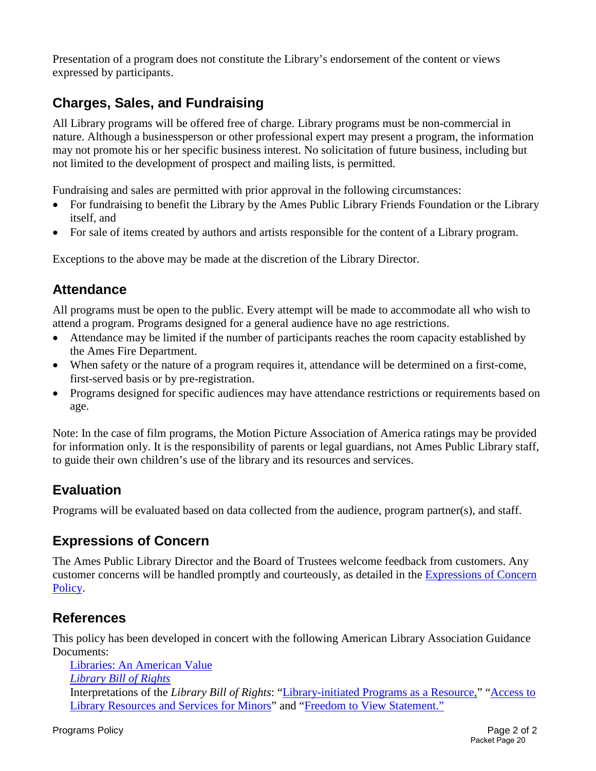Presentation of a program does not constitute the Library's endorsement of the content or views expressed by participants.

## **Charges, Sales, and Fundraising**

All Library programs will be offered free of charge. Library programs must be non-commercial in nature. Although a businessperson or other professional expert may present a program, the information may not promote his or her specific business interest. No solicitation of future business, including but not limited to the development of prospect and mailing lists, is permitted.

Fundraising and sales are permitted with prior approval in the following circumstances:

- For fundraising to benefit the Library by the Ames Public Library Friends Foundation or the Library itself, and
- For sale of items created by authors and artists responsible for the content of a Library program.

Exceptions to the above may be made at the discretion of the Library Director.

## **Attendance**

All programs must be open to the public. Every attempt will be made to accommodate all who wish to attend a program. Programs designed for a general audience have no age restrictions.

- Attendance may be limited if the number of participants reaches the room capacity established by the Ames Fire Department.
- When safety or the nature of a program requires it, attendance will be determined on a first-come, first-served basis or by pre-registration.
- Programs designed for specific audiences may have attendance restrictions or requirements based on age.

Note: In the case of film programs, the Motion Picture Association of America ratings may be provided for information only. It is the responsibility of parents or legal guardians, not Ames Public Library staff, to guide their own children's use of the library and its resources and services.

## **Evaluation**

Programs will be evaluated based on data collected from the audience, program partner(s), and staff.

## **Expressions of Concern**

The Ames Public Library Director and the Board of Trustees welcome feedback from customers. Any customer concerns will be handled promptly and courteously, as detailed in the [Expressions of Concern](http://www.amespubliclibrary.org/Docs_PDFs/Policy/ExpressionsofConcernPolicy.pdf)  [Policy](http://www.amespubliclibrary.org/Docs_PDFs/Policy/ExpressionsofConcernPolicy.pdf).

## **References**

This policy has been developed in concert with the following American Library Association Guidance Documents:

[Libraries: An American Value](http://www.ala.org/advocacy/intfreedom/statementspols/librariesamerican)  *[Library Bill of Rights](http://www.ala.org/advocacy/intfreedom/librarybill/interpretations/libraryinitiated)*  Interpretations of the *Library Bill of Rights*: ["Library-initiated Programs as a Resource,](http://www.ala.org/advocacy/intfreedom/librarybill/interpretations/libraryinitiated)" ["Access to](http://www.ala.org/advocacy/intfreedom/librarybill/interpretations/access-library-resources-for-minors)  [Library Resources and Services for Minors"](http://www.ala.org/advocacy/intfreedom/librarybill/interpretations/access-library-resources-for-minors) and ["Freedom to View Statement.](http://www.ala.org/advocacy/intfreedom/statementspols/freedomviewstatement)"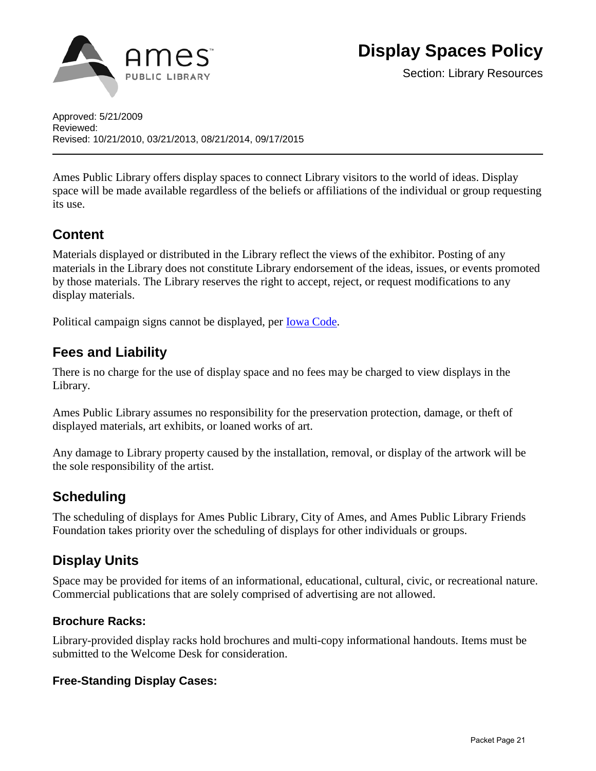

Section: Library Resources

Approved: 5/21/2009 Reviewed: Revised: 10/21/2010, 03/21/2013, 08/21/2014, 09/17/2015

Ames Public Library offers display spaces to connect Library visitors to the world of ideas. Display space will be made available regardless of the beliefs or affiliations of the individual or group requesting its use.

## **Content**

Materials displayed or distributed in the Library reflect the views of the exhibitor. Posting of any materials in the Library does not constitute Library endorsement of the ideas, issues, or events promoted by those materials. The Library reserves the right to accept, reject, or request modifications to any display materials.

Political campaign signs cannot be displayed, per [Iowa Code.](http://coolice.legis.iowa.gov/Cool-ICE/default.asp?category=billinfo&service=IowaCode&input=68A.406)

## **Fees and Liability**

There is no charge for the use of display space and no fees may be charged to view displays in the Library.

Ames Public Library assumes no responsibility for the preservation protection, damage, or theft of displayed materials, art exhibits, or loaned works of art.

Any damage to Library property caused by the installation, removal, or display of the artwork will be the sole responsibility of the artist.

## **Scheduling**

The scheduling of displays for Ames Public Library, City of Ames, and Ames Public Library Friends Foundation takes priority over the scheduling of displays for other individuals or groups.

## **Display Units**

Space may be provided for items of an informational, educational, cultural, civic, or recreational nature. Commercial publications that are solely comprised of advertising are not allowed.

## **Brochure Racks:**

Library-provided display racks hold brochures and multi-copy informational handouts. Items must be submitted to the Welcome Desk for consideration.

#### **Free-Standing Display Cases:**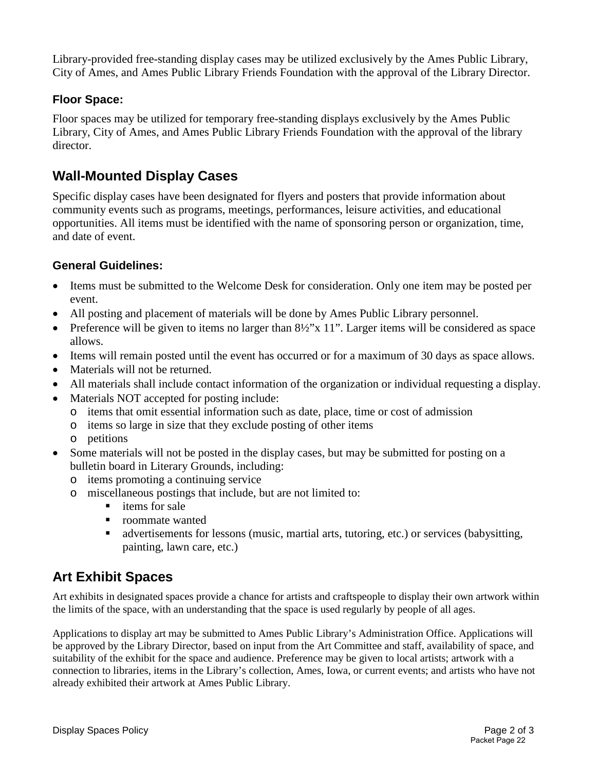Library-provided free-standing display cases may be utilized exclusively by the Ames Public Library, City of Ames, and Ames Public Library Friends Foundation with the approval of the Library Director.

## **Floor Space:**

Floor spaces may be utilized for temporary free-standing displays exclusively by the Ames Public Library, City of Ames, and Ames Public Library Friends Foundation with the approval of the library director.

## **Wall-Mounted Display Cases**

Specific display cases have been designated for flyers and posters that provide information about community events such as programs, meetings, performances, leisure activities, and educational opportunities. All items must be identified with the name of sponsoring person or organization, time, and date of event.

## **General Guidelines:**

- Items must be submitted to the Welcome Desk for consideration. Only one item may be posted per event.
- All posting and placement of materials will be done by Ames Public Library personnel.
- Preference will be given to items no larger than  $8\frac{1}{2}$ "x 11". Larger items will be considered as space allows.
- Items will remain posted until the event has occurred or for a maximum of 30 days as space allows.
- Materials will not be returned.
- All materials shall include contact information of the organization or individual requesting a display.
- Materials NOT accepted for posting include:
	- o items that omit essential information such as date, place, time or cost of admission
	- o items so large in size that they exclude posting of other items
	- o petitions
- Some materials will not be posted in the display cases, but may be submitted for posting on a bulletin board in Literary Grounds, including:
	- o items promoting a continuing service
	- o miscellaneous postings that include, but are not limited to:
		- $\blacksquare$  items for sale
		- roommate wanted
		- advertisements for lessons (music, martial arts, tutoring, etc.) or services (babysitting, painting, lawn care, etc.)

## **Art Exhibit Spaces**

Art exhibits in designated spaces provide a chance for artists and craftspeople to display their own artwork within the limits of the space, with an understanding that the space is used regularly by people of all ages.

Applications to display art may be submitted to Ames Public Library's Administration Office. Applications will be approved by the Library Director, based on input from the Art Committee and staff, availability of space, and suitability of the exhibit for the space and audience. Preference may be given to local artists; artwork with a connection to libraries, items in the Library's collection, Ames, Iowa, or current events; and artists who have not already exhibited their artwork at Ames Public Library.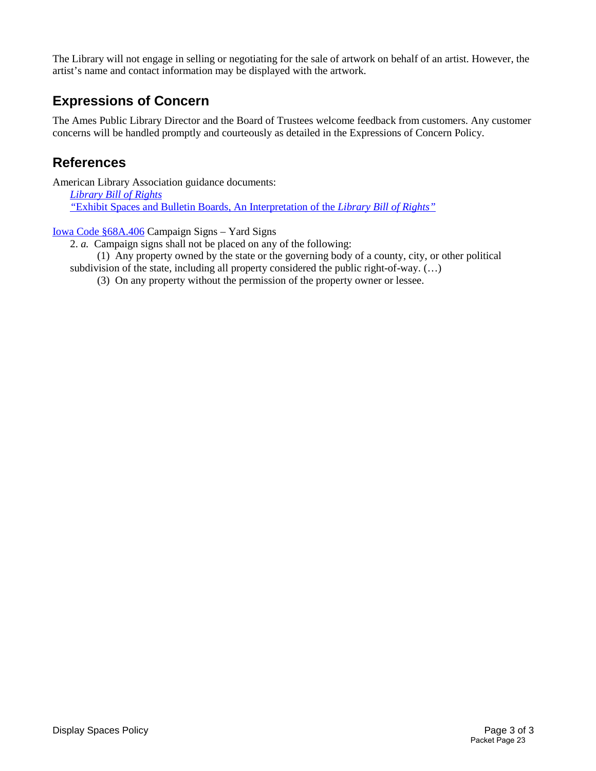The Library will not engage in selling or negotiating for the sale of artwork on behalf of an artist. However, the artist's name and contact information may be displayed with the artwork.

## **Expressions of Concern**

The Ames Public Library Director and the Board of Trustees welcome feedback from customers. Any customer concerns will be handled promptly and courteously as detailed in the Expressions of Concern Policy.

## **References**

American Library Association guidance documents: *[Library Bill of Rights](http://www.ala.org/advocacy/intfreedom/librarybill) "*[Exhibit Spaces and Bulletin Boards, An Interpretation of the](http://www.ala.org/advocacy/intfreedom/librarybill/interpretations/exhibitspaces) *Library Bill of Rights"*

#### [Iowa Code §68A.406](https://coolice.legis.iowa.gov/Cool-ICE/default.asp?category=billinfo&service=IowaCode&input=68A.406) Campaign Signs – Yard Signs

2. *a.* Campaign signs shall not be placed on any of the following:

 (1) Any property owned by the state or the governing body of a county, city, or other political subdivision of the state, including all property considered the public right-of-way. (…)

(3) On any property without the permission of the property owner or lessee.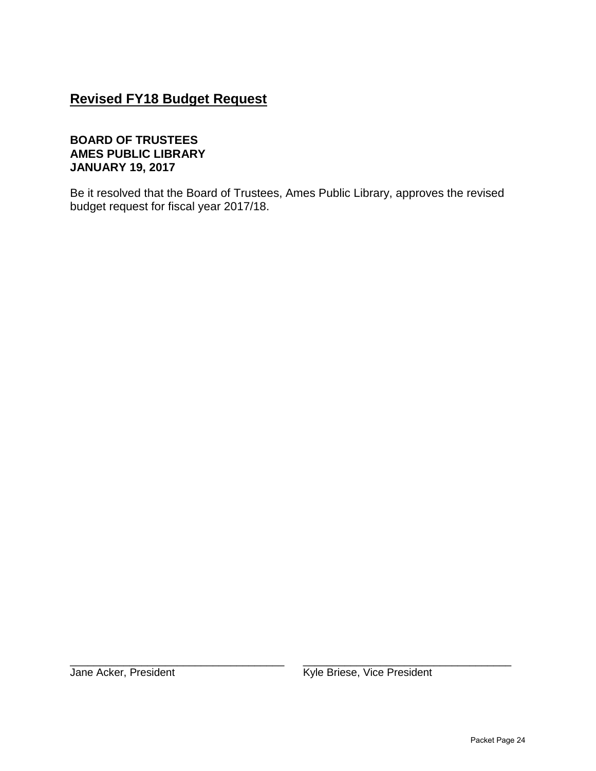## **Revised FY18 Budget Request**

#### **BOARD OF TRUSTEES AMES PUBLIC LIBRARY JANUARY 19, 2017**

Be it resolved that the Board of Trustees, Ames Public Library, approves the revised budget request for fiscal year 2017/18.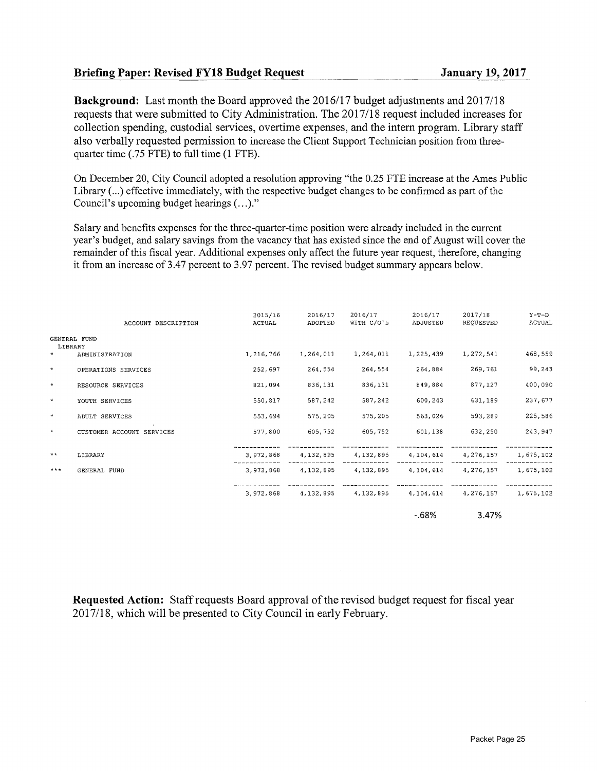#### Briefing Paper: Revised FY18 Budget Request January 19, 2017

Background: Last month the Board approved the 2016/17 budget adjustments and 2017/18 requests that were submitted to City Administration. The 2017/18 request included increases for collection spending, custodial services, overtime expenses, and the intern program. Library staff also verbally requested permission to increase the Client Support Technician position from threequarter time (.75 FTE) to full time (1 FTE).

On December 20, City Council adopted a resolution approving "the 0.25 FTE increase at the Ames Public Library( ... ) effective immediately, with the respective budget changes to be confirmed as part of the Council's upcoming budget hearings  $(\ldots)$ ."

Salary and benefits expenses for the three-quarter-time position were already included in the current year's budget, and salary savings from the vacancy that has existed since the end of August will cover the remainder of this fiscal year. Additional expenses only affect the future year request, therefore, changing it from an increase of 3.47 percent to 3.97 percent. The revised budget summary appears below.

|         | ACCOUNT DESCRIPTION       | 2015/16<br>ACTUAL | 2016/17<br>ADOPTED | 2016/17<br>WITH C/O's                             | 2016/17<br>ADJUSTED | 2017/18<br>REQUESTED | $Y-T-D$<br>ACTUAL |
|---------|---------------------------|-------------------|--------------------|---------------------------------------------------|---------------------|----------------------|-------------------|
| LIBRARY | <b>GENERAL FUND</b>       |                   |                    |                                                   |                     |                      |                   |
| $\star$ | ADMINISTRATION            | 1,216,766         | 1,264,011          | 1,264,011                                         | 1,225,439           | 1,272,541            | 468,559           |
| $\star$ | OPERATIONS SERVICES       | 252,697           | 264,554            | 264,554                                           | 264,884             | 269,761              | 99,243            |
| $\star$ | RESOURCE SERVICES         | 821,094           | 836,131            | 836,131                                           | 849,884             | 877,127              | 400,090           |
| $\star$ | YOUTH SERVICES            | 550,817           | 587,242            | 587,242                                           | 600,243             | 631,189              | 237,677           |
| $\star$ | ADULT SERVICES            | 553,694           | 575,205            | 575,205                                           | 563,026             | 593,289              | 225,586           |
| $\star$ | CUSTOMER ACCOUNT SERVICES | 577,800           | 605,752            | 605,752                                           | 601,138             | 632,250              | 243,947           |
| $* *$   | LIBRARY                   | 3,972,868         | 4,132,895          | 4,132,895                                         | 4,104,614           | 4,276,157            | 1,675,102         |
| $***$   | GENERAL FUND              |                   |                    | 3,972,868 4,132,895 4,132,895 4,104,614 4,276,157 |                     |                      | 1,675,102         |
|         |                           |                   |                    | 3,972,868 4,132,895 4,132,895 4,104,614 4,276,157 |                     |                      | 1,675,102         |
|         |                           |                   |                    |                                                   | -.68%               | 3.47%                |                   |

Requested Action: Staff requests Board approval of the revised budget request for fiscal year 2017118, which will be presented to City Council in early February.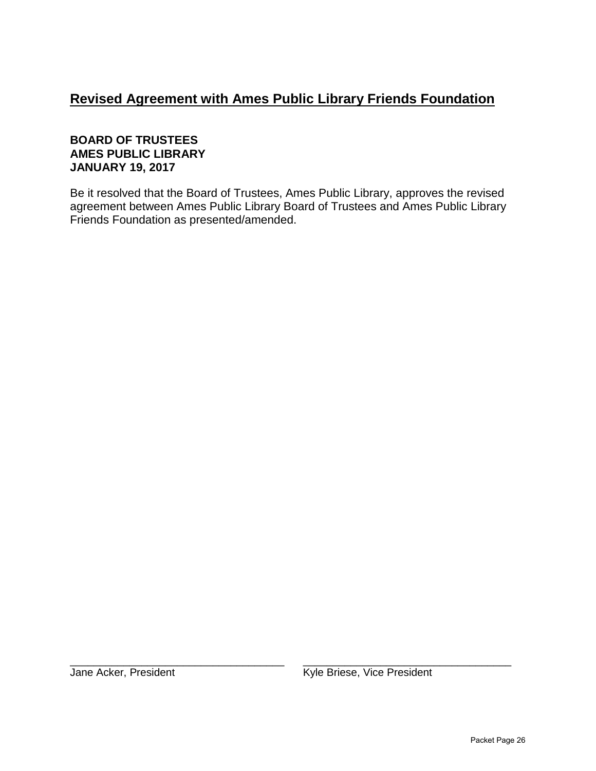## **Revised Agreement with Ames Public Library Friends Foundation**

#### **BOARD OF TRUSTEES AMES PUBLIC LIBRARY JANUARY 19, 2017**

Be it resolved that the Board of Trustees, Ames Public Library, approves the revised agreement between Ames Public Library Board of Trustees and Ames Public Library Friends Foundation as presented/amended.

\_\_\_\_\_\_\_\_\_\_\_\_\_\_\_\_\_\_\_\_\_\_\_\_\_\_\_\_\_\_\_\_\_\_\_\_ \_\_\_\_\_\_\_\_\_\_\_\_\_\_\_\_\_\_\_\_\_\_\_\_\_\_\_\_\_\_\_\_\_\_\_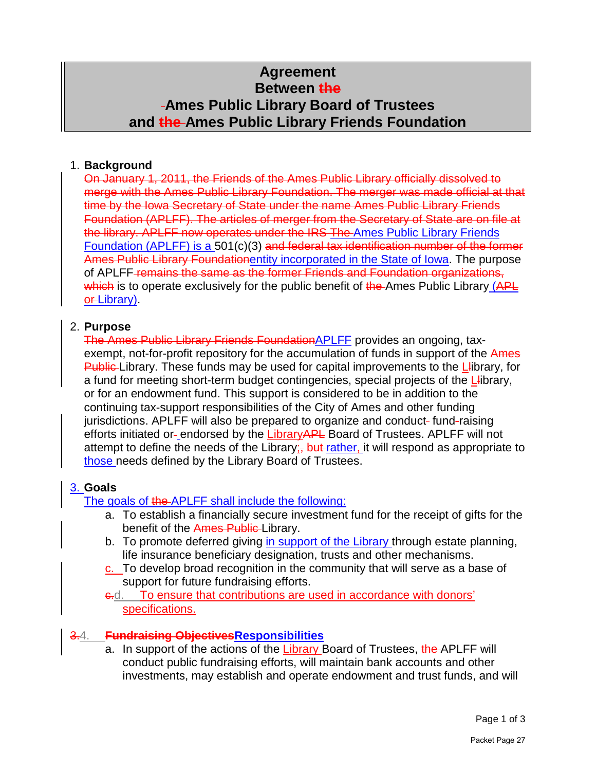## **Agreement Between the Ames Public Library Board of Trustees and the Ames Public Library Friends Foundation**

## 1. **Background**

On January 1, 2011, the Friends of the Ames Public Library officially dissolved to merge with the Ames Public Library Foundation. The merger was made official at that time by the Iowa Secretary of State under the name Ames Public Library Friends Foundation (APLFF). The articles of merger from the Secretary of State are on file at the library. APLFF now operates under the IRS The Ames Public Library Friends Foundation (APLFF) is a 501(c)(3) and federal tax identification number of the former Ames Public Library Foundationentity incorporated in the State of Iowa. The purpose of APLFF remains the same as the former Friends and Foundation organizations, which is to operate exclusively for the public benefit of the Ames Public Library (APL or Library).

## 2. **Purpose**

The Ames Public Library Friends FoundationAPLFF provides an ongoing, taxexempt, not-for-profit repository for the accumulation of funds in support of the Ames Public Library. These funds may be used for capital improvements to the Library, for a fund for meeting short-term budget contingencies, special projects of the L-ibrary, or for an endowment fund. This support is considered to be in addition to the continuing tax-support responsibilities of the City of Ames and other funding jurisdictions. APLFF will also be prepared to organize and conduct-fund-raising efforts initiated or-endorsed by the LibraryAPL Board of Trustees. APLFF will not attempt to define the needs of the Library;  $\frac{1}{2}$  but rather, it will respond as appropriate to those needs defined by the Library Board of Trustees.

## 3. **Goals**

The goals of the APLFF shall include the following:

- a. To establish a financially secure investment fund for the receipt of gifts for the benefit of the Ames Public-Library.
- b. To promote deferred giving in support of the Library through estate planning, life insurance beneficiary designation, trusts and other mechanisms.
- c. To develop broad recognition in the community that will serve as a base of support for future fundraising efforts.

e.d. To ensure that contributions are used in accordance with donors' specifications.

## 3.4. **Fundraising ObjectivesResponsibilities**

a. In support of the actions of the Library Board of Trustees, the APLFF will conduct public fundraising efforts, will maintain bank accounts and other investments, may establish and operate endowment and trust funds, and will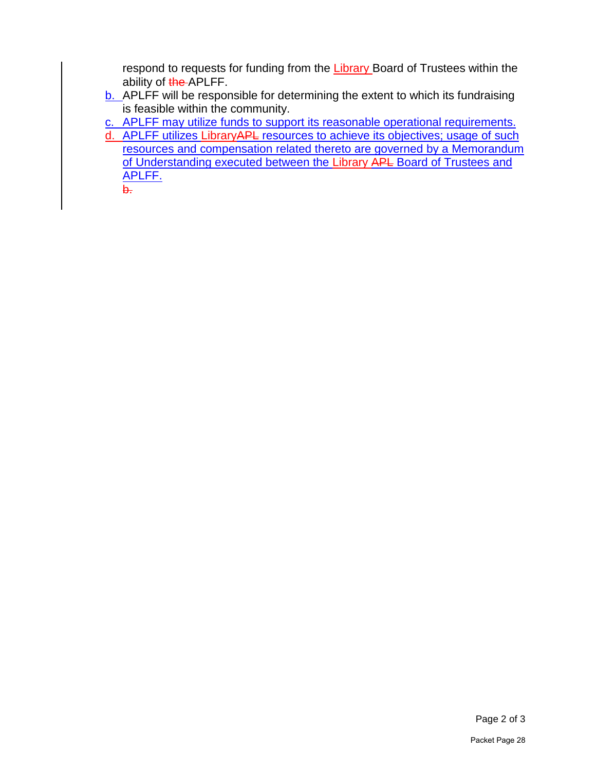respond to requests for funding from the Library Board of Trustees within the ability of the APLFF.

b. APLFF will be responsible for determining the extent to which its fundraising is feasible within the community.

c. APLFF may utilize funds to support its reasonable operational requirements.

d. APLFF utilizes LibraryAPL resources to achieve its objectives; usage of such resources and compensation related thereto are governed by a Memorandum of Understanding executed between the Library APL Board of Trustees and APLFF.

b.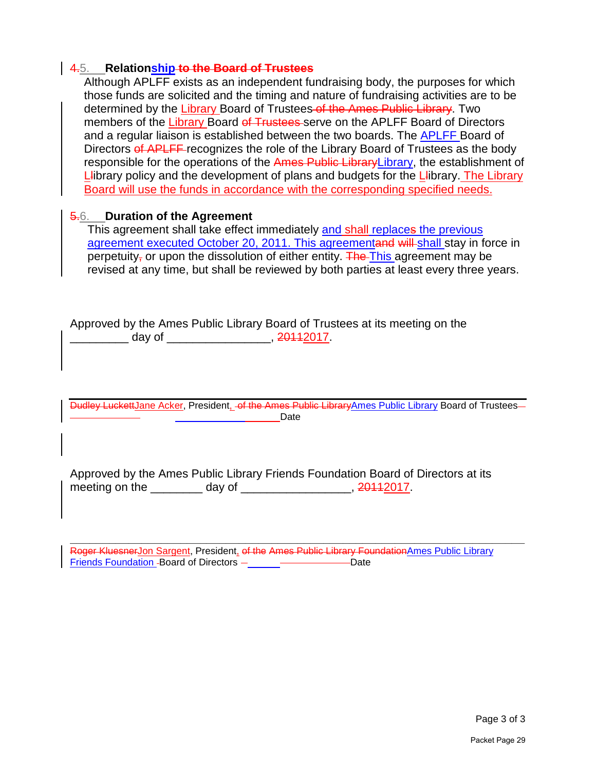#### 4.5. **Relationship to the Board of Trustees**

Although APLFF exists as an independent fundraising body, the purposes for which those funds are solicited and the timing and nature of fundraising activities are to be determined by the Library Board of Trustees of the Ames Public Library. Two members of the Library Board of Trustees serve on the APLFF Board of Directors and a regular liaison is established between the two boards. The APLFF Board of Directors of APLFF recognizes the role of the Library Board of Trustees as the body responsible for the operations of the Ames Public LibraryLibrary, the establishment of Library policy and the development of plans and budgets for the Library. The Library Board will use the funds in accordance with the corresponding specified needs.

#### 5.6. **Duration of the Agreement**

This agreement shall take effect immediately and shall replaces the previous agreement executed October 20, 2011. This agreementand will shall stay in force in perpetuity<sub>7</sub> or upon the dissolution of either entity. The This agreement may be revised at any time, but shall be reviewed by both parties at least every three years.

Approved by the Ames Public Library Board of Trustees at its meeting on the \_\_\_\_\_\_\_\_\_\_\_\_\_\_\_ day of \_\_\_\_\_\_\_\_\_\_\_\_\_\_\_\_\_\_\_\_\_\_\_, 20112017.

Dudley LuckettJane Acker, President, of the Ames Public LibraryAmes Public Library Board of Trustees Date

Approved by the Ames Public Library Friends Foundation Board of Directors at its meeting on the \_\_\_\_\_\_\_\_ day of \_\_\_\_\_\_\_\_\_\_\_\_\_\_\_\_, 20112017.

**\_\_\_\_\_\_\_\_\_\_\_\_\_\_\_\_\_\_\_\_\_\_\_\_\_\_\_\_\_\_\_\_\_\_\_\_\_\_\_\_\_\_\_\_\_\_\_\_\_\_\_\_\_\_\_\_\_\_\_\_\_\_\_\_\_\_\_\_\_\_** Roger Kluesner<u>Jon Sargent,</u> President<u>,</u> o<del>f the Ames Public Library Foundation</del>Ames Public Library Friends Foundation - Board of Directors<sup>-</sup> \_\_\_\_\_\_<sup>\_\_\_\_\_\_\_\_\_\_\_\_\_\_\_\_\_\_\_\_\_\_Date</sup>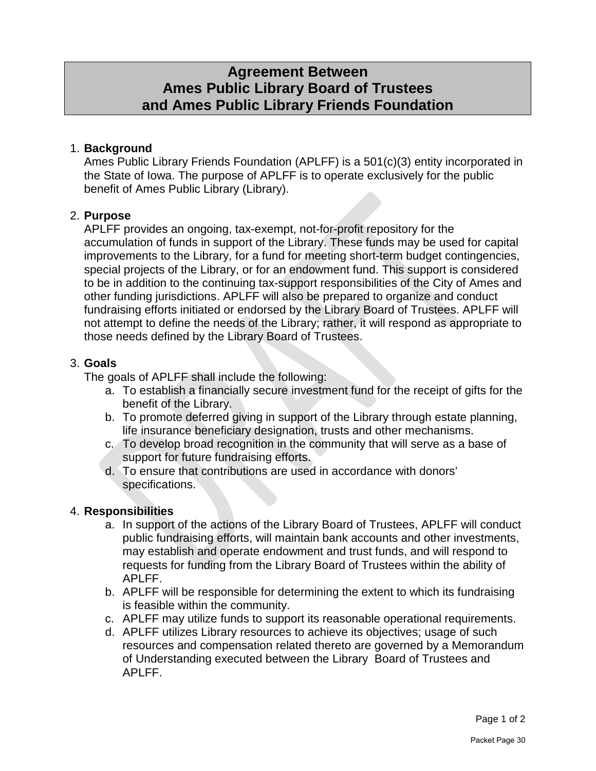## **Agreement Between Ames Public Library Board of Trustees and Ames Public Library Friends Foundation**

## 1. **Background**

Ames Public Library Friends Foundation (APLFF) is a 501(c)(3) entity incorporated in the State of Iowa. The purpose of APLFF is to operate exclusively for the public benefit of Ames Public Library (Library).

## 2. **Purpose**

APLFF provides an ongoing, tax-exempt, not-for-profit repository for the accumulation of funds in support of the Library. These funds may be used for capital improvements to the Library, for a fund for meeting short-term budget contingencies, special projects of the Library, or for an endowment fund. This support is considered to be in addition to the continuing tax-support responsibilities of the City of Ames and other funding jurisdictions. APLFF will also be prepared to organize and conduct fundraising efforts initiated or endorsed by the Library Board of Trustees. APLFF will not attempt to define the needs of the Library; rather, it will respond as appropriate to those needs defined by the Library Board of Trustees.

## 3. **Goals**

The goals of APLFF shall include the following:

- a. To establish a financially secure investment fund for the receipt of gifts for the benefit of the Library.
- b. To promote deferred giving in support of the Library through estate planning, life insurance beneficiary designation, trusts and other mechanisms.
- c. To develop broad recognition in the community that will serve as a base of support for future fundraising efforts.
- d. To ensure that contributions are used in accordance with donors' specifications.

## 4. **Responsibilities**

- a. In support of the actions of the Library Board of Trustees, APLFF will conduct public fundraising efforts, will maintain bank accounts and other investments, may establish and operate endowment and trust funds, and will respond to requests for funding from the Library Board of Trustees within the ability of APLFF.
- b. APLFF will be responsible for determining the extent to which its fundraising is feasible within the community.
- c. APLFF may utilize funds to support its reasonable operational requirements.
- d. APLFF utilizes Library resources to achieve its objectives; usage of such resources and compensation related thereto are governed by a Memorandum of Understanding executed between the Library Board of Trustees and APLFF.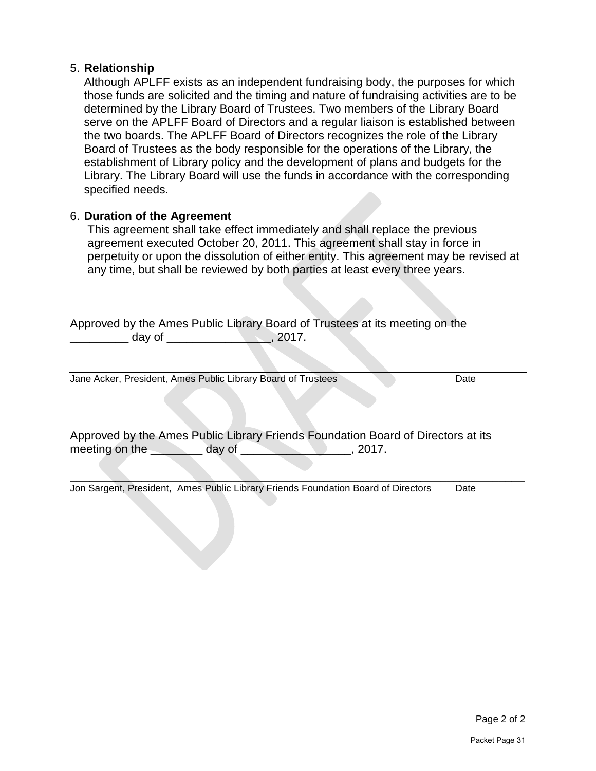#### 5. **Relationship**

Although APLFF exists as an independent fundraising body, the purposes for which those funds are solicited and the timing and nature of fundraising activities are to be determined by the Library Board of Trustees. Two members of the Library Board serve on the APLFF Board of Directors and a regular liaison is established between the two boards. The APLFF Board of Directors recognizes the role of the Library Board of Trustees as the body responsible for the operations of the Library, the establishment of Library policy and the development of plans and budgets for the Library. The Library Board will use the funds in accordance with the corresponding specified needs.

#### 6. **Duration of the Agreement**

This agreement shall take effect immediately and shall replace the previous agreement executed October 20, 2011. This agreement shall stay in force in perpetuity or upon the dissolution of either entity. This agreement may be revised at any time, but shall be reviewed by both parties at least every three years.

Approved by the Ames Public Library Board of Trustees at its meeting on the \_\_\_\_\_\_\_\_\_ day of \_\_\_\_\_\_\_\_\_\_\_\_\_\_\_\_, 2017.

Jane Acker, President, Ames Public Library Board of Trustees Date

Approved by the Ames Public Library Friends Foundation Board of Directors at its meeting on the day of the day of the setting on the day of the setting on the set of  $\sim$ 

**\_\_\_\_\_\_\_\_\_\_\_\_\_\_\_\_\_\_\_\_\_\_\_\_\_\_\_\_\_\_\_\_\_\_\_\_\_\_\_\_\_\_\_\_\_\_\_\_\_\_\_\_\_\_\_\_\_\_\_\_\_\_\_\_\_\_\_\_\_\_** Jon Sargent, President, Ames Public Library Friends Foundation Board of DirectorsDate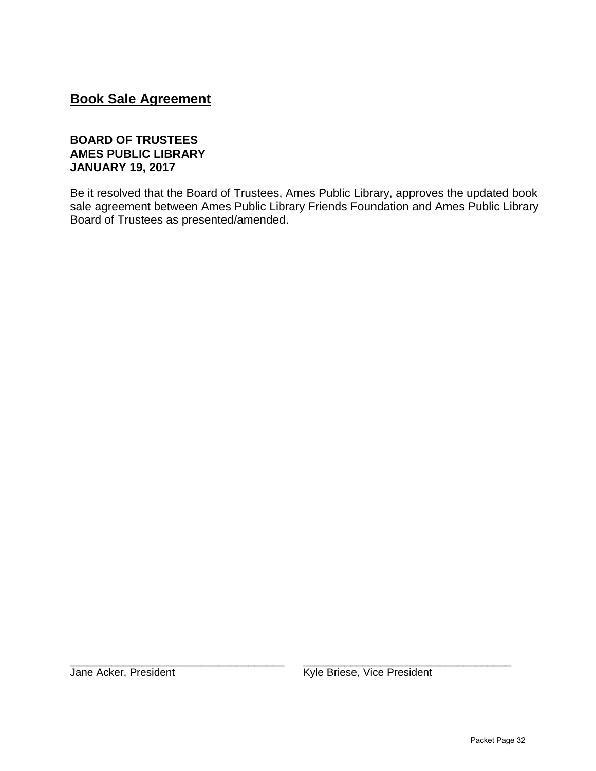## **Book Sale Agreement**

#### **BOARD OF TRUSTEES AMES PUBLIC LIBRARY JANUARY 19, 2017**

Be it resolved that the Board of Trustees, Ames Public Library, approves the updated book sale agreement between Ames Public Library Friends Foundation and Ames Public Library Board of Trustees as presented/amended.

\_\_\_\_\_\_\_\_\_\_\_\_\_\_\_\_\_\_\_\_\_\_\_\_\_\_\_\_\_\_\_\_\_\_\_\_ \_\_\_\_\_\_\_\_\_\_\_\_\_\_\_\_\_\_\_\_\_\_\_\_\_\_\_\_\_\_\_\_\_\_\_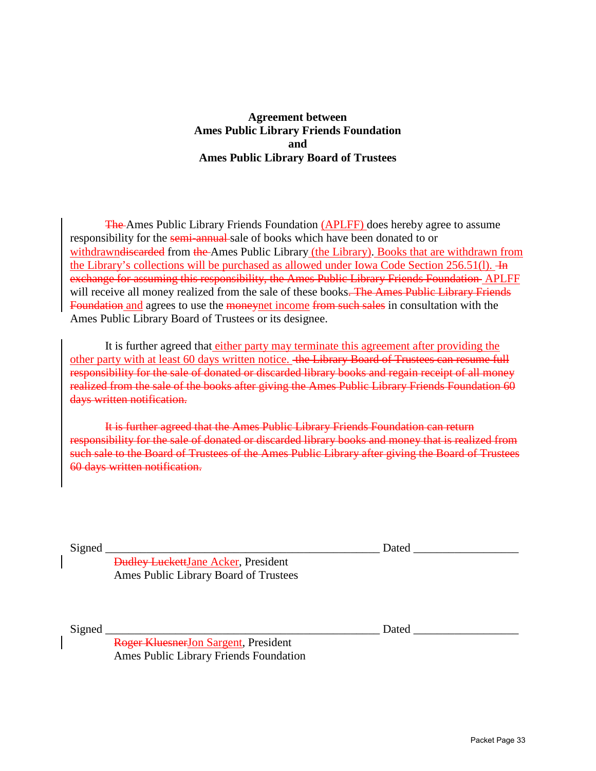#### **Agreement between Ames Public Library Friends Foundation and Ames Public Library Board of Trustees**

The Ames Public Library Friends Foundation (APLFF) does hereby agree to assume responsibility for the semi-annual sale of books which have been donated to or withdrawndiscarded from the Ames Public Library (the Library). Books that are withdrawn from the Library's collections will be purchased as allowed under Iowa Code Section 256.51(l). He exchange for assuming this responsibility, the Ames Public Library Friends Foundation APLFF will receive all money realized from the sale of these books. The Ames Public Library Friends Foundation and agrees to use the moneynet income from such sales in consultation with the Ames Public Library Board of Trustees or its designee.

It is further agreed that either party may terminate this agreement after providing the other party with at least 60 days written notice. the Library Board of Trustees can resume full responsibility for the sale of donated or discarded library books and regain receipt of all money realized from the sale of the books after giving the Ames Public Library Friends Foundation 60 days written notification.

It is further agreed that the Ames Public Library Friends Foundation can return responsibility for the sale of donated or discarded library books and money that is realized from such sale to the Board of Trustees of the Ames Public Library after giving the Board of Trustees 60 days written notification.

Signed **Dated**  $\Box$ 

Dudley LuckettJane Acker, President Ames Public Library Board of Trustees

Signed \_\_\_\_\_\_\_\_\_\_\_\_\_\_\_\_\_\_\_\_\_\_\_\_\_\_\_\_\_\_\_\_\_\_\_\_\_\_\_\_\_\_\_\_\_\_\_ Dated \_\_\_\_\_\_\_\_\_\_\_\_\_\_\_\_\_\_

Roger KluesnerJon Sargent, President Ames Public Library Friends Foundation